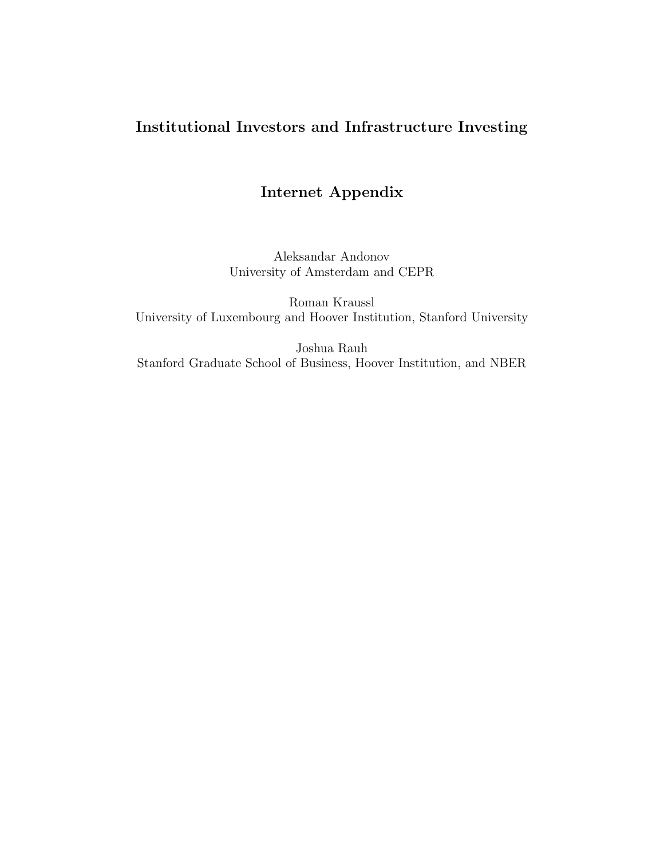# Institutional Investors and Infrastructure Investing

# Internet Appendix

Aleksandar Andonov University of Amsterdam and CEPR

Roman Kraussl University of Luxembourg and Hoover Institution, Stanford University

Joshua Rauh Stanford Graduate School of Business, Hoover Institution, and NBER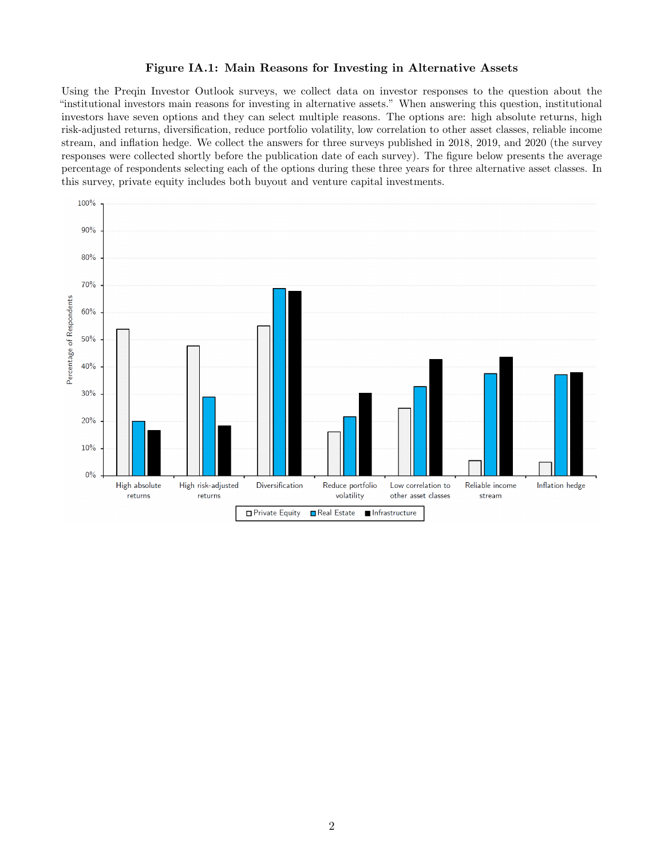#### Figure IA.1: Main Reasons for Investing in Alternative Assets

Using the Preqin Investor Outlook surveys, we collect data on investor responses to the question about the "institutional investors main reasons for investing in alternative assets." When answering this question, institutional investors have seven options and they can select multiple reasons. The options are: high absolute returns, high risk-adjusted returns, diversification, reduce portfolio volatility, low correlation to other asset classes, reliable income stream, and inflation hedge. We collect the answers for three surveys published in 2018, 2019, and 2020 (the survey responses were collected shortly before the publication date of each survey). The figure below presents the average percentage of respondents selecting each of the options during these three years for three alternative asset classes. In this survey, private equity includes both buyout and venture capital investments.

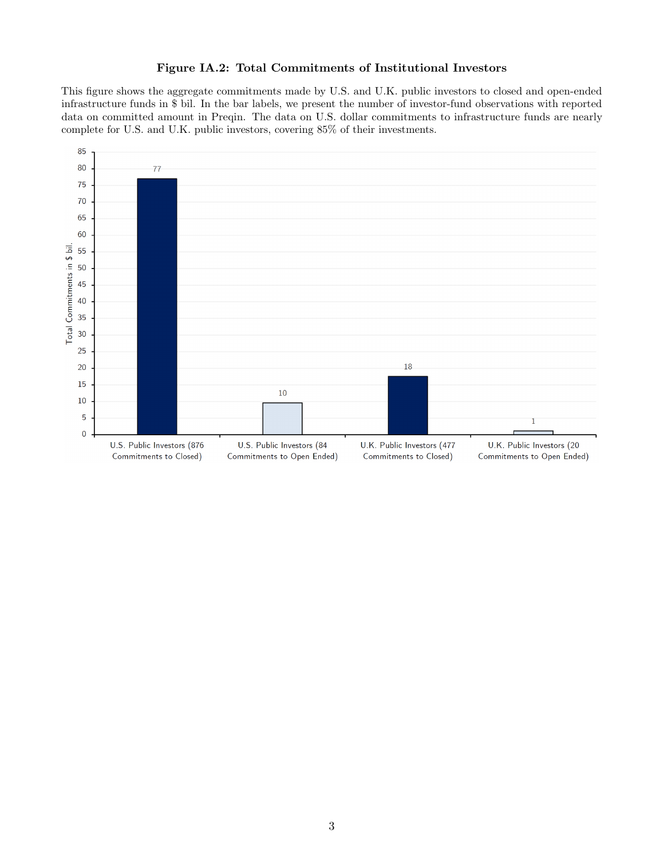# Figure IA.2: Total Commitments of Institutional Investors

This figure shows the aggregate commitments made by U.S. and U.K. public investors to closed and open-ended infrastructure funds in \$ bil. In the bar labels, we present the number of investor-fund observations with reported data on committed amount in Preqin. The data on U.S. dollar commitments to infrastructure funds are nearly complete for U.S. and U.K. public investors, covering 85% of their investments.

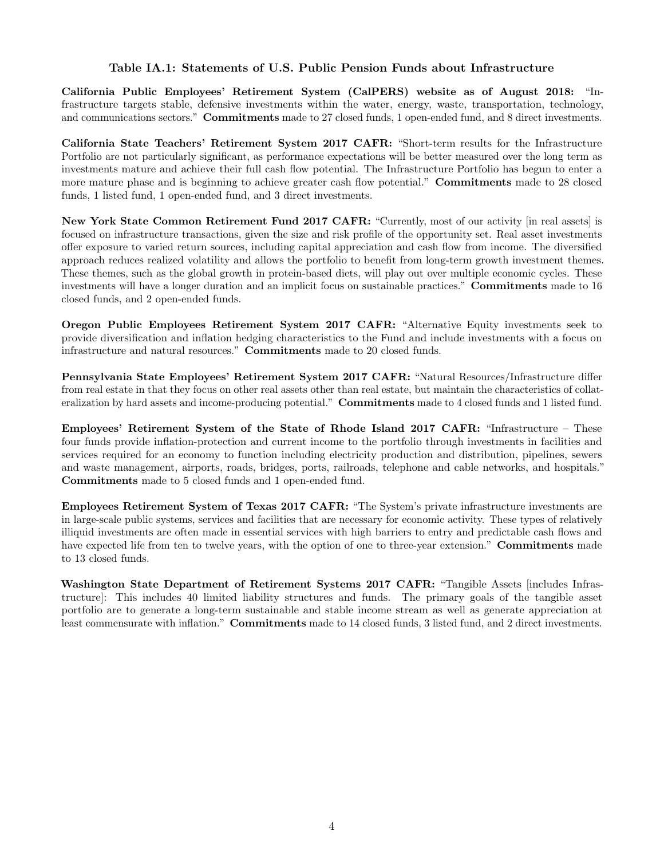## Table IA.1: Statements of U.S. Public Pension Funds about Infrastructure

California Public Employees' Retirement System (CalPERS) website as of August 2018: "Infrastructure targets stable, defensive investments within the water, energy, waste, transportation, technology, and communications sectors." **Commitments** made to 27 closed funds, 1 open-ended fund, and 8 direct investments.

California State Teachers' Retirement System 2017 CAFR: "Short-term results for the Infrastructure Portfolio are not particularly significant, as performance expectations will be better measured over the long term as investments mature and achieve their full cash flow potential. The Infrastructure Portfolio has begun to enter a more mature phase and is beginning to achieve greater cash flow potential." **Commitments** made to 28 closed funds, 1 listed fund, 1 open-ended fund, and 3 direct investments.

New York State Common Retirement Fund 2017 CAFR: "Currently, most of our activity [in real assets] is focused on infrastructure transactions, given the size and risk profile of the opportunity set. Real asset investments offer exposure to varied return sources, including capital appreciation and cash flow from income. The diversified approach reduces realized volatility and allows the portfolio to benefit from long-term growth investment themes. These themes, such as the global growth in protein-based diets, will play out over multiple economic cycles. These investments will have a longer duration and an implicit focus on sustainable practices." Commitments made to 16 closed funds, and 2 open-ended funds.

Oregon Public Employees Retirement System 2017 CAFR: "Alternative Equity investments seek to provide diversification and inflation hedging characteristics to the Fund and include investments with a focus on infrastructure and natural resources." Commitments made to 20 closed funds.

Pennsylvania State Employees' Retirement System 2017 CAFR: "Natural Resources/Infrastructure differ from real estate in that they focus on other real assets other than real estate, but maintain the characteristics of collateralization by hard assets and income-producing potential." **Commitments** made to 4 closed funds and 1 listed fund.

Employees' Retirement System of the State of Rhode Island 2017 CAFR: "Infrastructure – These four funds provide inflation-protection and current income to the portfolio through investments in facilities and services required for an economy to function including electricity production and distribution, pipelines, sewers and waste management, airports, roads, bridges, ports, railroads, telephone and cable networks, and hospitals." Commitments made to 5 closed funds and 1 open-ended fund.

Employees Retirement System of Texas 2017 CAFR: "The System's private infrastructure investments are in large-scale public systems, services and facilities that are necessary for economic activity. These types of relatively illiquid investments are often made in essential services with high barriers to entry and predictable cash flows and have expected life from ten to twelve years, with the option of one to three-year extension." **Commitments** made to 13 closed funds.

Washington State Department of Retirement Systems 2017 CAFR: "Tangible Assets [includes Infrastructure]: This includes 40 limited liability structures and funds. The primary goals of the tangible asset portfolio are to generate a long-term sustainable and stable income stream as well as generate appreciation at least commensurate with inflation." **Commitments** made to 14 closed funds, 3 listed fund, and 2 direct investments.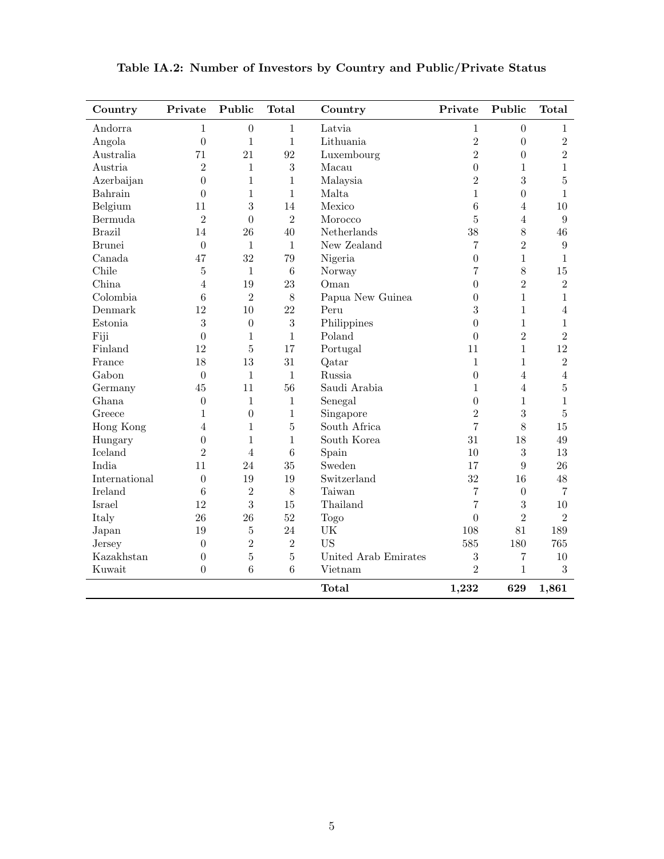| Country       | Private          | Public           | <b>Total</b>     | Country              | Private          | Public         | <b>Total</b>     |
|---------------|------------------|------------------|------------------|----------------------|------------------|----------------|------------------|
| Andorra       | $\mathbf{1}$     | $\boldsymbol{0}$ | $\mathbf{1}$     | Latvia               | $\mathbf{1}$     | $\overline{0}$ | $\mathbf{1}$     |
| Angola        | $\overline{0}$   | $\mathbf{1}$     | $\mathbf{1}$     | Lithuania            | $\overline{2}$   | $\overline{0}$ | $\overline{2}$   |
| Australia     | 71               | 21               | 92               | Luxembourg           | $\overline{2}$   | $\overline{0}$ | $\overline{2}$   |
| Austria       | $\overline{2}$   | $\mathbf{1}$     | 3                | Macau                | $\overline{0}$   | $\mathbf{1}$   | $\mathbf{1}$     |
| Azerbaijan    | $\boldsymbol{0}$ | $\mathbf{1}$     | $\mathbf{1}$     | Malaysia             | $\overline{2}$   | $\overline{3}$ | $\overline{5}$   |
| Bahrain       | $\overline{0}$   | $\mathbf{1}$     | $\mathbf{1}$     | Malta                | $\mathbf{1}$     | $\overline{0}$ | $\mathbf{1}$     |
| Belgium       | 11               | 3                | 14               | Mexico               | 6                | $\overline{4}$ | 10               |
| Bermuda       | $\overline{2}$   | $\overline{0}$   | $\overline{2}$   | Morocco              | $\overline{5}$   | $\overline{4}$ | $\boldsymbol{9}$ |
| <b>Brazil</b> | 14               | 26               | 40               | Netherlands          | 38               | 8              | 46               |
| <b>Brunei</b> | $\overline{0}$   | $\mathbf{1}$     | $1\,$            | New Zealand          | 7                | $\overline{2}$ | $\boldsymbol{9}$ |
| Canada        | 47               | 32               | 79               | Nigeria              | $\overline{0}$   | $\mathbf{1}$   | $1\,$            |
| Chile         | 5                | $\mathbf{1}$     | $\boldsymbol{6}$ | Norway               | 7                | 8              | 15               |
| China         | $\overline{4}$   | 19               | 23               | Oman                 | $\overline{0}$   | $\overline{2}$ | $\overline{2}$   |
| Colombia      | 6                | $\overline{2}$   | 8                | Papua New Guinea     | $\overline{0}$   | $\mathbf{1}$   | $\,1\,$          |
| Denmark       | 12               | 10               | 22               | Peru                 | 3                | $\mathbf{1}$   | $\overline{4}$   |
| Estonia       | $\boldsymbol{3}$ | $\overline{0}$   | $\sqrt{3}$       | Philippines          | $\overline{0}$   | $\mathbf{1}$   | $\,1\,$          |
| Fiji          | $\overline{0}$   | $\mathbf{1}$     | $\mathbf{1}$     | Poland               | $\overline{0}$   | $\overline{2}$ | $\overline{2}$   |
| Finland       | 12               | $\overline{5}$   | 17               | Portugal             | 11               | $\mathbf{1}$   | 12               |
| France        | 18               | 13               | 31               | Qatar                | $\mathbf{1}$     | $\mathbf{1}$   | $\overline{2}$   |
| Gabon         | $\boldsymbol{0}$ | $\mathbf{1}$     | $1\,$            | Russia               | $\boldsymbol{0}$ | $\overline{4}$ | $\overline{4}$   |
| Germany       | 45               | 11               | 56               | Saudi Arabia         | $\mathbf 1$      | $\overline{4}$ | $\overline{5}$   |
| Ghana         | $\boldsymbol{0}$ | $\mathbf{1}$     | $\,1\,$          | Senegal              | $\overline{0}$   | $\mathbf{1}$   | $\,1\,$          |
| Greece        | $\mathbf{1}$     | $\overline{0}$   | $\mathbf{1}$     | Singapore            | $\overline{2}$   | 3              | $\overline{5}$   |
| Hong Kong     | $\overline{4}$   | $\mathbf{1}$     | $\bf 5$          | South Africa         | $\overline{7}$   | 8              | 15               |
| Hungary       | $\boldsymbol{0}$ | $\mathbf{1}$     | $\mathbf{1}$     | South Korea          | 31               | 18             | $49\,$           |
| Iceland       | $\overline{2}$   | $\overline{4}$   | $\overline{6}$   | Spain                | 10               | 3              | 13               |
| India         | 11               | 24               | 35               | Sweden               | 17               | 9              | 26               |
| International | $\overline{0}$   | 19               | 19               | Switzerland          | 32               | 16             | 48               |
| Ireland       | 6                | $\overline{2}$   | 8                | Taiwan               | $\overline{7}$   | $\overline{0}$ | $\overline{7}$   |
| Israel        | 12               | 3                | 15               | Thailand             | 7                | 3              | 10               |
| Italy         | 26               | 26               | 52               | Togo                 | $\overline{0}$   | $\overline{2}$ | $\overline{2}$   |
| Japan         | 19               | $\overline{5}$   | 24               | UK                   | 108              | 81             | 189              |
| Jersey        | $\overline{0}$   | $\overline{2}$   | $\overline{2}$   | <b>US</b>            | 585              | 180            | 765              |
| Kazakhstan    | $\boldsymbol{0}$ | $\overline{5}$   | $\overline{5}$   | United Arab Emirates | 3                | 7              | 10               |
| Kuwait        | $\overline{0}$   | $\overline{6}$   | 6                | Vietnam              | $\overline{2}$   | $\mathbf{1}$   | 3                |
|               |                  |                  |                  | <b>Total</b>         | 1,232            | 629            | 1,861            |

Table IA.2: Number of Investors by Country and Public/Private Status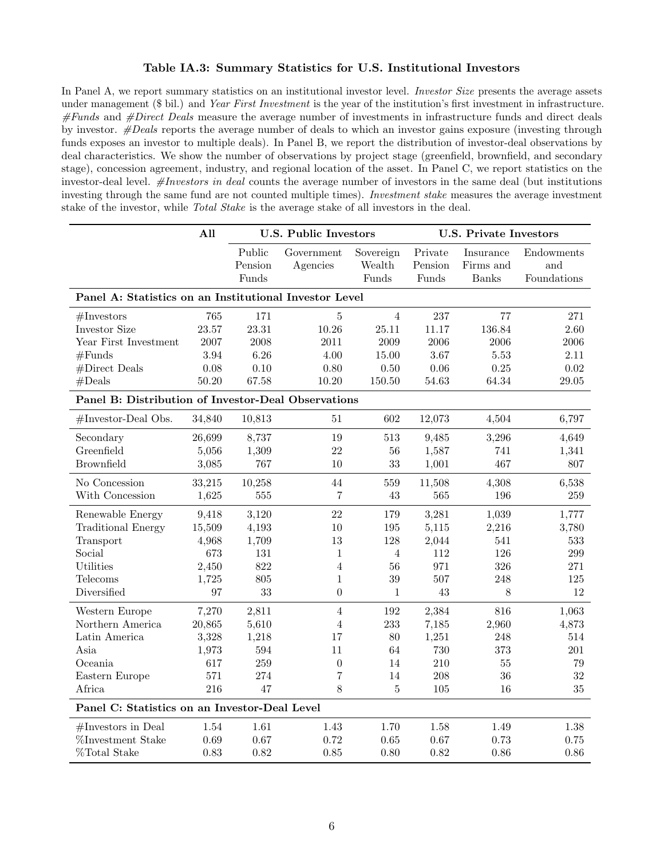#### Table IA.3: Summary Statistics for U.S. Institutional Investors

In Panel A, we report summary statistics on an institutional investor level. *Investor Size* presents the average assets under management (\$ bil.) and Year First Investment is the year of the institution's first investment in infrastructure.  $#Funds$  and  $#Direct$  Deals measure the average number of investments in infrastructure funds and direct deals by investor. #Deals reports the average number of deals to which an investor gains exposure (investing through funds exposes an investor to multiple deals). In Panel B, we report the distribution of investor-deal observations by deal characteristics. We show the number of observations by project stage (greenfield, brownfield, and secondary stage), concession agreement, industry, and regional location of the asset. In Panel C, we report statistics on the investor-deal level. #Investors in deal counts the average number of investors in the same deal (but institutions investing through the same fund are not counted multiple times). Investment stake measures the average investment stake of the investor, while Total Stake is the average stake of all investors in the deal.

|                                                        | All    |         | <b>U.S. Public Investors</b> |                | <b>U.S. Private Investors</b> |              |             |  |
|--------------------------------------------------------|--------|---------|------------------------------|----------------|-------------------------------|--------------|-------------|--|
|                                                        |        | Public  | Government                   | Sovereign      | Private                       | Insurance    | Endowments  |  |
|                                                        |        | Pension | Agencies                     | Wealth         | Pension                       | Firms and    | and         |  |
|                                                        |        | Funds   |                              | Funds          | Funds                         | <b>Banks</b> | Foundations |  |
| Panel A: Statistics on an Institutional Investor Level |        |         |                              |                |                               |              |             |  |
| #Investors                                             | 765    | 171     | $\overline{5}$               | $\overline{4}$ | 237                           | 77           | 271         |  |
| Investor Size                                          | 23.57  | 23.31   | 10.26                        | 25.11          | 11.17                         | 136.84       | 2.60        |  |
| Year First Investment                                  | 2007   | 2008    | 2011                         | 2009           | 2006                          | 2006         | 2006        |  |
| #Funds                                                 | 3.94   | 6.26    | 4.00                         | 15.00          | 3.67                          | 5.53         | 2.11        |  |
| #Direct Deals                                          | 0.08   | 0.10    | 0.80                         | 0.50           | $0.06\,$                      | 0.25         | 0.02        |  |
| #Deals                                                 | 50.20  | 67.58   | 10.20                        | 150.50         | 54.63                         | 64.34        | $29.05\,$   |  |
| Panel B: Distribution of Investor-Deal Observations    |        |         |                              |                |                               |              |             |  |
| #Investor-Deal Obs.                                    | 34,840 | 10,813  | 51                           | 602            | 12,073                        | 4,504        | 6,797       |  |
| Secondary                                              | 26,699 | 8,737   | 19                           | 513            | 9,485                         | 3,296        | 4,649       |  |
| Greenfield                                             | 5,056  | 1,309   | 22                           | 56             | 1,587                         | 741          | 1,341       |  |
| <b>Brownfield</b>                                      | 3,085  | 767     | 10                           | 33             | 1,001                         | 467          | 807         |  |
| No Concession                                          | 33,215 | 10,258  | 44                           | 559            | 11,508                        | 4,308        | 6,538       |  |
| With Concession                                        | 1,625  | 555     | $\overline{7}$               | 43             | 565                           | 196          | 259         |  |
| Renewable Energy                                       | 9,418  | 3,120   | 22                           | 179            | 3,281                         | 1,039        | 1,777       |  |
| <b>Traditional Energy</b>                              | 15,509 | 4,193   | 10                           | 195            | 5,115                         | 2,216        | 3,780       |  |
| Transport                                              | 4,968  | 1,709   | 13                           | 128            | 2,044                         | 541          | 533         |  |
| Social                                                 | 673    | 131     | $\mathbf{1}$                 | $\overline{4}$ | 112                           | 126          | 299         |  |
| Utilities                                              | 2,450  | 822     | $\overline{4}$               | 56             | 971                           | 326          | 271         |  |
| Telecoms                                               | 1,725  | 805     | $\mathbf{1}$                 | 39             | 507                           | 248          | 125         |  |
| Diversified                                            | 97     | 33      | $\theta$                     | 1              | 43                            | 8            | 12          |  |
| Western Europe                                         | 7,270  | 2,811   | $\overline{4}$               | 192            | 2,384                         | 816          | 1,063       |  |
| Northern America                                       | 20,865 | 5,610   | $\overline{4}$               | 233            | 7,185                         | 2,960        | 4,873       |  |
| Latin America                                          | 3,328  | 1,218   | 17                           | 80             | 1,251                         | 248          | 514         |  |
| Asia                                                   | 1,973  | 594     | 11                           | 64             | 730                           | 373          | 201         |  |
| Oceania                                                | 617    | 259     | $\boldsymbol{0}$             | 14             | 210                           | $55\,$       | 79          |  |
| Eastern Europe                                         | 571    | 274     | 7                            | 14             | 208                           | 36           | 32          |  |
| Africa                                                 | 216    | 47      | 8                            | 5              | 105                           | 16           | 35          |  |
| Panel C: Statistics on an Investor-Deal Level          |        |         |                              |                |                               |              |             |  |
| $#Investors$ in Deal                                   | 1.54   | 1.61    | 1.43                         | 1.70           | 1.58                          | 1.49         | 1.38        |  |
| %Investment Stake                                      | 0.69   | 0.67    | 0.72                         | 0.65           | 0.67                          | 0.73         | 0.75        |  |
| %Total Stake                                           | 0.83   | 0.82    | 0.85                         | 0.80           | 0.82                          | 0.86         | 0.86        |  |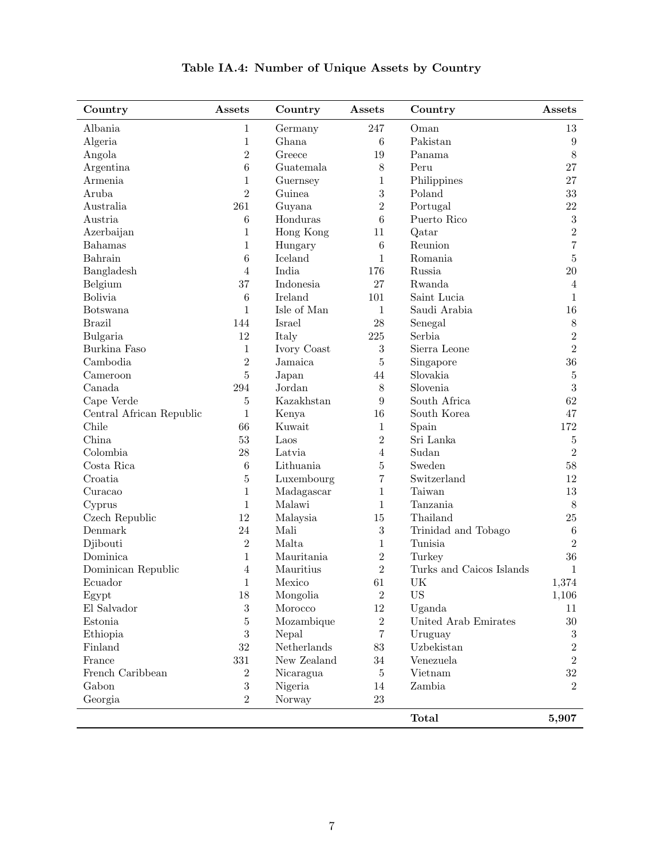| Country                  | Assets           | Country     | Assets           | Country                  | Assets           |
|--------------------------|------------------|-------------|------------------|--------------------------|------------------|
| Albania                  | $\mathbf{1}$     | Germany     | 247              | Oman                     | 13               |
| Algeria                  | $\mathbf{1}$     | Ghana       | $\,6\,$          | Pakistan                 | $\boldsymbol{9}$ |
| Angola                   | $\overline{2}$   | Greece      | 19               | Panama                   | $8\,$            |
| Argentina                | $\boldsymbol{6}$ | Guatemala   | $8\,$            | Peru                     | 27               |
| Armenia                  | $\mathbf{1}$     | Guernsey    | $\mathbf{1}$     | Philippines              | 27               |
| Aruba                    | $\overline{2}$   | Guinea      | $\boldsymbol{3}$ | Poland                   | 33               |
| Australia                | 261              | Guyana      | $\overline{2}$   | Portugal                 | 22               |
| Austria                  | $\,6$            | Honduras    | 6                | Puerto Rico              | $\sqrt{3}$       |
| Azerbaijan               | $\mathbf{1}$     | Hong Kong   | 11               | Qatar                    | $\overline{2}$   |
| Bahamas                  | $\mathbf{1}$     | Hungary     | $\,6\,$          | Reunion                  | $\overline{7}$   |
| Bahrain                  | 6                | Iceland     | $\mathbf{1}$     | Romania                  | $\bf 5$          |
| Bangladesh               | $\overline{4}$   | India       | 176              | Russia                   | 20               |
| Belgium                  | 37               | Indonesia   | 27               | Rwanda                   | 4                |
| <b>Bolivia</b>           | 6                | Ireland     | 101              | Saint Lucia              | 1                |
| Botswana                 | $\mathbf{1}$     | Isle of Man | $\mathbf{1}$     | Saudi Arabia             | 16               |
| <b>Brazil</b>            | 144              | Israel      | 28               | Senegal                  | $8\,$            |
| Bulgaria                 | 12               | Italy       | 225              | Serbia                   | $\overline{2}$   |
| Burkina Faso             | $\mathbf{1}$     | Ivory Coast | $\sqrt{3}$       | Sierra Leone             | $\overline{2}$   |
| Cambodia                 | $\overline{2}$   | Jamaica     | 5                | Singapore                | 36               |
| Cameroon                 | $\bf 5$          | Japan       | 44               | Slovakia                 | $\bf 5$          |
| Canada                   | 294              | Jordan      | 8                | Slovenia                 | $\overline{3}$   |
| Cape Verde               | 5                | Kazakhstan  | 9                | South Africa             | 62               |
| Central African Republic | $\mathbf{1}$     | Kenya       | 16               | South Korea              | 47               |
| Chile                    | 66               | Kuwait      | 1                | Spain                    | 172              |
| China                    | 53               | Laos        | $\overline{2}$   | Sri Lanka                | $\bf 5$          |
| Colombia                 | 28               | Latvia      | $\overline{4}$   | Sudan                    | $\overline{2}$   |
| Costa Rica               | 6                | Lithuania   | 5                | Sweden                   | 58               |
| Croatia                  | $\overline{5}$   | Luxembourg  | $\overline{7}$   | Switzerland              | 12               |
| Curacao                  | $\mathbf{1}$     | Madagascar  | $\mathbf{1}$     | Taiwan                   | 13               |
| Cyprus                   | $\mathbf{1}$     | Malawi      | $\mathbf{1}$     | Tanzania                 | 8                |
| Czech Republic           | 12               | Malaysia    | 15               | Thailand                 | 25               |
| Denmark                  | 24               | Mali        | $\boldsymbol{3}$ | Trinidad and Tobago      | $\,6$            |
| Djibouti                 | $\overline{2}$   | Malta       | 1                | Tunisia                  | $\overline{2}$   |
| Dominica                 | $\mathbf{1}$     | Mauritania  | $\overline{2}$   | Turkey                   | 36               |
| Dominican Republic       | $\overline{4}$   | Mauritius   | $\overline{2}$   | Turks and Caicos Islands | 1                |
| Ecuador                  | 1                | Mexico      | 61               | UK                       | 1,374            |
| Egypt                    | 18               | Mongolia    | $\overline{2}$   | <b>US</b>                | 1,106            |
| El Salvador              | $\sqrt{3}$       | Morocco     | 12               | Uganda                   | 11               |
| Estonia                  | $\bf 5$          | Mozambique  | $\overline{2}$   | United Arab Emirates     | $30\,$           |
| Ethiopia                 | 3                | Nepal       | 7                | Uruguay                  | $\,3$            |
| Finland                  | 32               | Netherlands | 83               | Uzbekistan               | $\overline{2}$   |
| France                   | 331              | New Zealand | 34               | Venezuela                | $\overline{2}$   |
| French Caribbean         | $\overline{2}$   | Nicaragua   | $\overline{5}$   | Vietnam                  | 32               |
| Gabon                    | $\sqrt{3}$       | Nigeria     | 14               | Zambia                   | $\overline{2}$   |
| Georgia                  | $\overline{2}$   | Norway      | 23               |                          |                  |
|                          |                  |             |                  | Total                    | 5,907            |

# Table IA.4: Number of Unique Assets by Country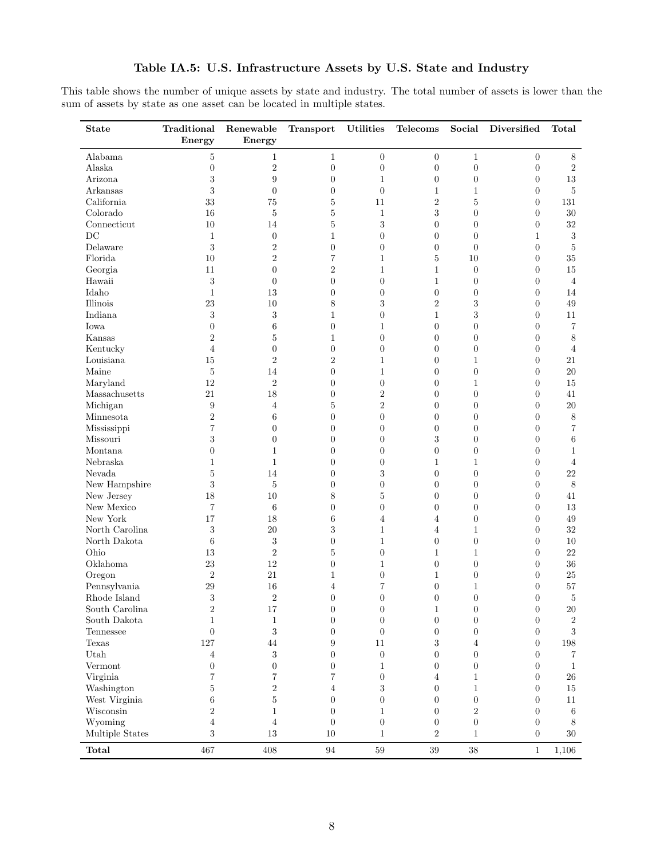# Table IA.5: U.S. Infrastructure Assets by U.S. State and Industry

This table shows the number of unique assets by state and industry. The total number of assets is lower than the sum of assets by state as one asset can be located in multiple states.

| <b>State</b>             | Traditional<br>Energy | Renewable<br>Energy | Transport        | <b>Utilities</b>   | Telecoms             | Social                 | Diversified              | Total             |
|--------------------------|-----------------------|---------------------|------------------|--------------------|----------------------|------------------------|--------------------------|-------------------|
| Alabama                  | 5                     | $\mathbf{1}$        | $\mathbf{1}$     | $\overline{0}$     | $\overline{0}$       | $\mathbf{1}$           | $\boldsymbol{0}$         | $8\,$             |
| Alaska                   | $\overline{0}$        | $\,2$               | $\boldsymbol{0}$ | $\overline{0}$     | $\overline{0}$       | $\overline{0}$         | $\boldsymbol{0}$         | $\sqrt{2}$        |
| Arizona                  | 3                     | 9                   | $\boldsymbol{0}$ | $\mathbf 1$        | $\theta$             | $\overline{0}$         | $\boldsymbol{0}$         | 13                |
| Arkansas                 | 3                     | $\overline{0}$      | $\boldsymbol{0}$ | $\overline{0}$     | $\mathbf{1}$         | 1                      | $\boldsymbol{0}$         | 5                 |
| California               | 33                    | 75                  | 5                | 11                 | $\,2$                | 5                      | $\boldsymbol{0}$         | 131               |
| Colorado                 | 16                    | 5                   | 5                | $\mathbf{1}$       | 3                    | $\overline{0}$         | $\boldsymbol{0}$         | 30                |
| Connecticut              | 10                    | 14                  | 5                | $\boldsymbol{3}$   | $\overline{0}$       | $\overline{0}$         | $\boldsymbol{0}$         | $32\,$            |
| DC                       | $\mathbf{1}$          | $\overline{0}$      | $\mathbf{1}$     | $\overline{0}$     | $\overline{0}$       | $\overline{0}$         | $\mathbf{1}$             | $\sqrt{3}$        |
| Delaware                 | 3                     | $\overline{2}$      | $\boldsymbol{0}$ | $\overline{0}$     | $\overline{0}$       | $\overline{0}$         | $\overline{0}$           | $\bf 5$           |
| Florida                  | 10                    | $\sqrt{2}$          | 7                | $\mathbf{1}$       | $\overline{5}$       | 10                     | $\boldsymbol{0}$         | 35                |
| Georgia                  | 11                    | $\overline{0}$      | $\overline{2}$   | $\mathbf{1}$       | $\mathbf{1}$         | $\overline{0}$         | $\boldsymbol{0}$         | 15                |
| Hawaii                   | 3                     | $\overline{0}$      | $\overline{0}$   | $\overline{0}$     | $\mathbf{1}$         | $\overline{0}$         | $\overline{0}$           | $\overline{4}$    |
| Idaho                    | $\mathbf{1}$          | 13                  | $\overline{0}$   | $\overline{0}$     | $\overline{0}$       | $\overline{0}$         | $\boldsymbol{0}$         | 14                |
| Illinois                 | 23                    | 10                  | 8                | 3                  | $\,2$                | 3                      | $\boldsymbol{0}$         | 49                |
| Indiana                  | 3                     | $\sqrt{3}$          | $\mathbf{1}$     | $\overline{0}$     | $\mathbf{1}$         | 3                      | $\boldsymbol{0}$         | 11                |
| Iowa                     | $\overline{0}$        | 6                   | $\overline{0}$   | $\mathbf{1}$       | $\overline{0}$       | $\overline{0}$         | $\boldsymbol{0}$         | $\scriptstyle{7}$ |
| Kansas                   | $\overline{2}$        | 5                   | 1                | $\overline{0}$     | $\overline{0}$       | $\overline{0}$         | $\boldsymbol{0}$         | $8\,$             |
| Kentucky                 | $\overline{4}$        | $\overline{0}$      | $\overline{0}$   | $\overline{0}$     | $\overline{0}$       | $\overline{0}$         | $\boldsymbol{0}$         | $\overline{4}$    |
| Louisiana                | 15                    | $\boldsymbol{2}$    | $\overline{2}$   | $\mathbf 1$        | $\overline{0}$       | 1                      | $\boldsymbol{0}$         | 21                |
| Maine                    | 5                     | 14                  | $\overline{0}$   | $\mathbf{1}$       | $\overline{0}$       | $\overline{0}$         | $\overline{0}$           | 20                |
| Maryland                 | 12                    | $\sqrt{2}$          | $\overline{0}$   | $\overline{0}$     | $\overline{0}$       | 1                      | $\overline{0}$           | 15                |
| Massachusetts            | 21                    | 18                  | $\overline{0}$   | $\overline{2}$     | $\overline{0}$       | $\overline{0}$         | $\overline{0}$           | 41                |
| Michigan                 | 9                     | $\overline{4}$      | 5                | $\sqrt{2}$         | $\overline{0}$       | $\overline{0}$         | $\boldsymbol{0}$         | $20\,$            |
| Minnesota                | $\sqrt{2}$            | 6                   | $\boldsymbol{0}$ | $\overline{0}$     | $\overline{0}$       | $\overline{0}$         | $\overline{0}$           | $8\,$             |
| Mississippi              | 7                     | $\theta$            | $\boldsymbol{0}$ | $\overline{0}$     | $\overline{0}$       | $\overline{0}$         | $\overline{0}$           | 7                 |
| Missouri                 | 3                     | $\theta$            | $\boldsymbol{0}$ | $\boldsymbol{0}$   | $\,3$                | $\overline{0}$         | $\boldsymbol{0}$         | $\,6\,$           |
| Montana                  | $\overline{0}$        | $\mathbf{1}$        | 0                | $\overline{0}$     | $\overline{0}$       | $\overline{0}$         | $\boldsymbol{0}$         | $\mathbf{1}$      |
| Nebraska                 | 1                     | $\mathbf{1}$        | $\boldsymbol{0}$ | $\overline{0}$     | $\mathbf{1}$         | 1                      | $\overline{0}$           | $\overline{4}$    |
| Nevada                   | 5                     | 14                  | $\boldsymbol{0}$ | $\boldsymbol{3}$   | $\overline{0}$       | $\overline{0}$         | $\boldsymbol{0}$         | 22                |
| New Hampshire            | 3                     | 5                   | $\boldsymbol{0}$ | $\boldsymbol{0}$   | $\overline{0}$       | $\overline{0}$         | $\boldsymbol{0}$         | $\,8\,$           |
| New Jersey               | 18                    | 10                  | 8                | $\bf 5$            | $\overline{0}$       | $\overline{0}$         | $\boldsymbol{0}$         | 41                |
| New Mexico               | 7                     | 6                   | $\overline{0}$   | $\overline{0}$     | $\overline{0}$       | $\overline{0}$         | $\overline{0}$           | 13                |
| New York                 | 17                    | 18                  | 6                | 4                  | $\overline{4}$       | $\overline{0}$         | $\boldsymbol{0}$         | 49                |
| North Carolina           | $\,3$                 | 20                  | 3                | $\mathbf 1$        | $\overline{4}$       | 1                      | $\boldsymbol{0}$         | $32\,$            |
| North Dakota             | $\boldsymbol{6}$      | $\sqrt{3}$          | $\overline{0}$   | $\mathbf{1}$       | $\overline{0}$       | $\overline{0}$         | $\boldsymbol{0}$         | 10                |
| Ohio                     | 13                    | $\boldsymbol{2}$    | 5                | $\overline{0}$     | $\mathbf 1$          | 1                      | $\overline{0}$           | $22\,$            |
| Oklahoma                 | 23                    | 12                  | $\overline{0}$   | $\mathbf 1$        | $\overline{0}$       | $\overline{0}$         | $\boldsymbol{0}$         | 36                |
| Oregon                   | $\boldsymbol{2}$      | 21                  | 1                | $\boldsymbol{0}$   | $\mathbf{1}$         | $\overline{0}$         | $\boldsymbol{0}$         | 25                |
| Pennsylvania             | 29                    | 16                  | 4                | 7                  | $\overline{0}$       | $\mathbf 1$            | $\overline{0}$           | $57\,$            |
| Rhode Island             | 3                     | $\sqrt{2}$          | $\overline{0}$   | $\overline{0}$     | $\theta$             | $\overline{0}$         | $\boldsymbol{0}$         | $\bf 5$           |
| South Carolina           | $\boldsymbol{2}$      | 17                  | 0                | $\theta$           | 1                    | $\boldsymbol{0}$       | $\boldsymbol{0}$         | $20\,$            |
| South Dakota             | $\mathbf{1}$          | $\mathbf{1}$        | $\boldsymbol{0}$ | $\boldsymbol{0}$   | $\boldsymbol{0}$     | $\boldsymbol{0}$       | $\boldsymbol{0}$         | $\,2$             |
| Tennessee                | $\overline{0}$        | $\sqrt{3}$          | $\boldsymbol{0}$ | $\boldsymbol{0}$   | $\overline{0}$       | $\overline{0}$         | $\boldsymbol{0}$         | $\sqrt{3}$        |
| Texas                    | 127                   | 44                  | 9                | 11                 | 3                    | 4                      | $\boldsymbol{0}$         | 198               |
| Utah                     | 4                     | $\sqrt{3}$          | $\boldsymbol{0}$ | $\boldsymbol{0}$   | $\theta$             | $\boldsymbol{0}$       | $\overline{0}$           | 7                 |
| Vermont                  | $\boldsymbol{0}$      | $\overline{0}$      | $\boldsymbol{0}$ | $\mathbf 1$        | $\theta$             | $\boldsymbol{0}$       | $\boldsymbol{0}$         | $\mathbf{1}$      |
| Virginia                 | 7                     | 7                   | 7                | $\overline{0}$     | $\overline{4}$       | 1                      | $\boldsymbol{0}$         | $26\,$            |
| Washington               | 5                     | $\sqrt{2}$          | 4                | 3                  | $\theta$             | 1                      | $\overline{0}$           | 15                |
| West Virginia            | $\,6$                 | $\overline{5}$      | $\boldsymbol{0}$ | $\boldsymbol{0}$   | $\boldsymbol{0}$     | $\boldsymbol{0}$       | $\boldsymbol{0}$         | 11                |
| Wisconsin                | $\overline{2}$        | $\mathbf{1}$        | $\boldsymbol{0}$ | $\mathbf{1}$       | $\theta$             | $\overline{2}$         | $\overline{0}$           | 6                 |
| Wyoming                  | $\overline{4}$        | $\overline{4}$      | $\boldsymbol{0}$ | $\overline{0}$     | $\boldsymbol{0}$     | $\boldsymbol{0}$       | $\boldsymbol{0}$         | 8                 |
| Multiple States<br>Total | 3<br>467              | 13<br>408           | 10<br>94         | $\mathbf{1}$<br>59 | $\sqrt{2}$<br>$39\,$ | $\mathbf{1}$<br>$38\,$ | $\theta$<br>$\mathbf{1}$ | 30<br>1,106       |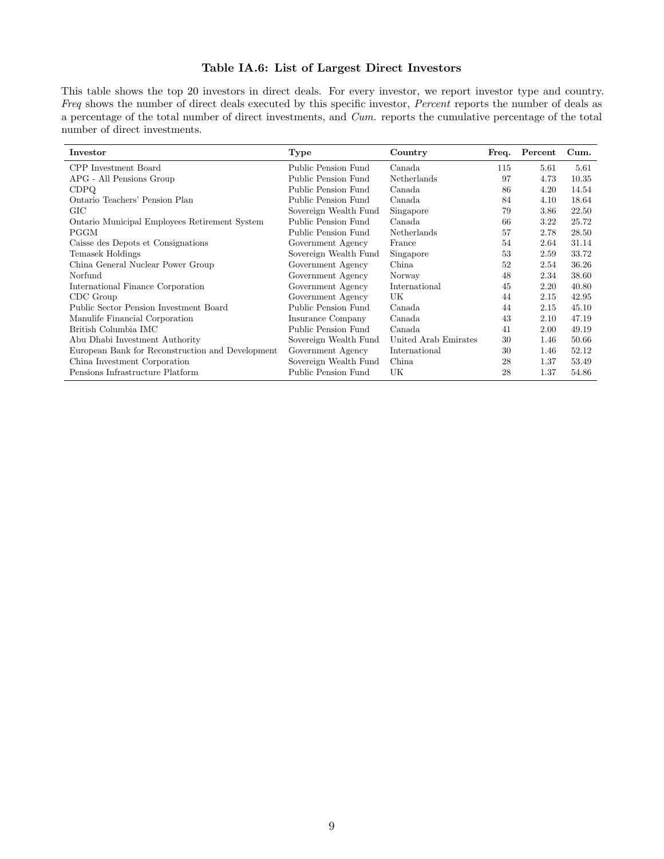# Table IA.6: List of Largest Direct Investors

This table shows the top 20 investors in direct deals. For every investor, we report investor type and country. Freq shows the number of direct deals executed by this specific investor, Percent reports the number of deals as a percentage of the total number of direct investments, and Cum. reports the cumulative percentage of the total number of direct investments.

| Investor                                         | Type                  | Country              | Freq. | Percent | Cum.  |
|--------------------------------------------------|-----------------------|----------------------|-------|---------|-------|
| CPP Investment Board                             | Public Pension Fund   | Canada               | 115   | 5.61    | 5.61  |
| APG - All Pensions Group                         | Public Pension Fund   | Netherlands          | 97    | 4.73    | 10.35 |
| <b>CDPQ</b>                                      | Public Pension Fund   | Canada               | 86    | 4.20    | 14.54 |
| Ontario Teachers' Pension Plan                   | Public Pension Fund   | Canada               | 84    | 4.10    | 18.64 |
| GIC                                              | Sovereign Wealth Fund | Singapore            | 79    | 3.86    | 22.50 |
| Ontario Municipal Employees Retirement System    | Public Pension Fund   | Canada               | 66    | 3.22    | 25.72 |
| <b>PGGM</b>                                      | Public Pension Fund   | Netherlands          | 57    | 2.78    | 28.50 |
| Caisse des Depots et Consignations               | Government Agency     | France               | 54    | 2.64    | 31.14 |
| Temasek Holdings                                 | Sovereign Wealth Fund | Singapore            | 53    | 2.59    | 33.72 |
| China General Nuclear Power Group                | Government Agency     | China                | 52    | 2.54    | 36.26 |
| Norfund                                          | Government Agency     | Norway               | 48    | 2.34    | 38.60 |
| International Finance Corporation                | Government Agency     | International        | 45    | 2.20    | 40.80 |
| CDC Group                                        | Government Agency     | UK                   | 44    | 2.15    | 42.95 |
| Public Sector Pension Investment Board           | Public Pension Fund   | Canada               | 44    | 2.15    | 45.10 |
| Manulife Financial Corporation                   | Insurance Company     | Canada               | 43    | 2.10    | 47.19 |
| British Columbia IMC                             | Public Pension Fund   | Canada               | 41    | 2.00    | 49.19 |
| Abu Dhabi Investment Authority                   | Sovereign Wealth Fund | United Arab Emirates | 30    | 1.46    | 50.66 |
| European Bank for Reconstruction and Development | Government Agency     | International        | 30    | 1.46    | 52.12 |
| China Investment Corporation                     | Sovereign Wealth Fund | China                | 28    | 1.37    | 53.49 |
| Pensions Infrastructure Platform                 | Public Pension Fund   | UK                   | 28    | 1.37    | 54.86 |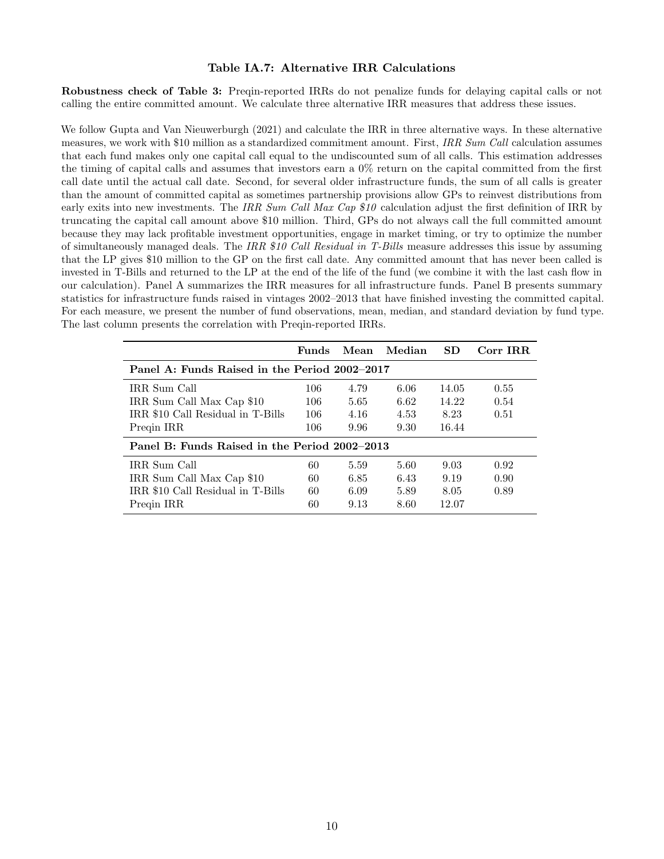#### Table IA.7: Alternative IRR Calculations

Robustness check of Table 3: Preqin-reported IRRs do not penalize funds for delaying capital calls or not calling the entire committed amount. We calculate three alternative IRR measures that address these issues.

We follow Gupta and Van Nieuwerburgh (2021) and calculate the IRR in three alternative ways. In these alternative measures, we work with \$10 million as a standardized commitment amount. First, IRR Sum Call calculation assumes that each fund makes only one capital call equal to the undiscounted sum of all calls. This estimation addresses the timing of capital calls and assumes that investors earn a 0% return on the capital committed from the first call date until the actual call date. Second, for several older infrastructure funds, the sum of all calls is greater than the amount of committed capital as sometimes partnership provisions allow GPs to reinvest distributions from early exits into new investments. The IRR Sum Call Max Cap \$10 calculation adjust the first definition of IRR by truncating the capital call amount above \$10 million. Third, GPs do not always call the full committed amount because they may lack profitable investment opportunities, engage in market timing, or try to optimize the number of simultaneously managed deals. The IRR \$10 Call Residual in T-Bills measure addresses this issue by assuming that the LP gives \$10 million to the GP on the first call date. Any committed amount that has never been called is invested in T-Bills and returned to the LP at the end of the life of the fund (we combine it with the last cash flow in our calculation). Panel A summarizes the IRR measures for all infrastructure funds. Panel B presents summary statistics for infrastructure funds raised in vintages 2002–2013 that have finished investing the committed capital. For each measure, we present the number of fund observations, mean, median, and standard deviation by fund type. The last column presents the correlation with Preqin-reported IRRs.

|                                               | Funds | Mean | Median | SD.   | Corr IRR |  |  |  |  |  |  |
|-----------------------------------------------|-------|------|--------|-------|----------|--|--|--|--|--|--|
| Panel A: Funds Raised in the Period 2002–2017 |       |      |        |       |          |  |  |  |  |  |  |
| IRR Sum Call                                  | 106   | 4.79 | 6.06   | 14.05 | 0.55     |  |  |  |  |  |  |
| IRR Sum Call Max Cap \$10                     | 106   | 5.65 | 6.62   | 14.22 | 0.54     |  |  |  |  |  |  |
| IRR \$10 Call Residual in T-Bills             | 106   | 4.16 | 4.53   | 8.23  | 0.51     |  |  |  |  |  |  |
| Pregin IRR                                    | 106   | 9.96 | 9.30   | 16.44 |          |  |  |  |  |  |  |
| Panel B: Funds Raised in the Period 2002–2013 |       |      |        |       |          |  |  |  |  |  |  |
| IRR Sum Call                                  | 60    | 5.59 | 5.60   | 9.03  | 0.92     |  |  |  |  |  |  |
| IRR Sum Call Max Cap \$10                     | 60    | 6.85 | 6.43   | 9.19  | 0.90     |  |  |  |  |  |  |
| IRR \$10 Call Residual in T-Bills             | 60    | 6.09 | 5.89   | 8.05  | 0.89     |  |  |  |  |  |  |
| Pregin IRR                                    | 60    | 9.13 | 8.60   | 12.07 |          |  |  |  |  |  |  |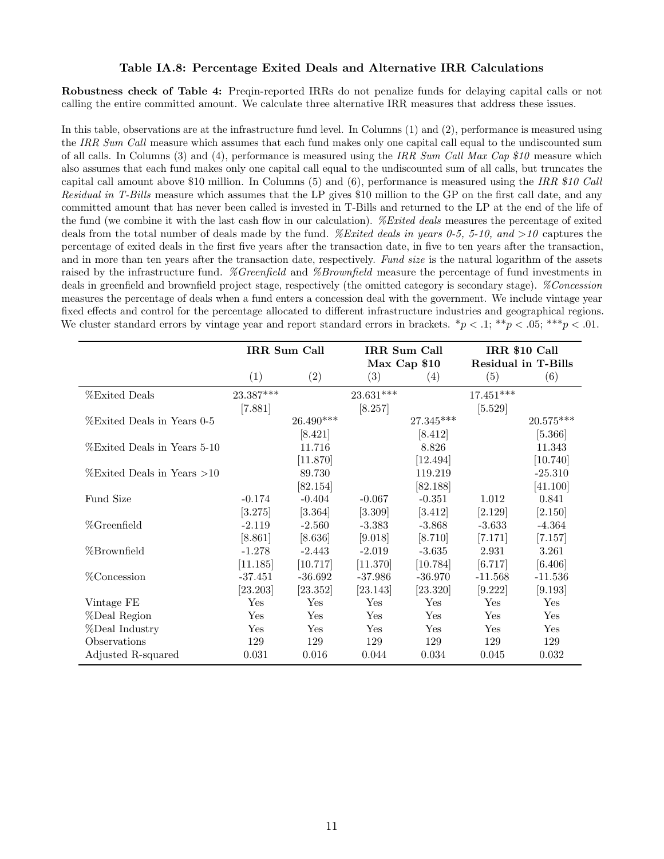### Table IA.8: Percentage Exited Deals and Alternative IRR Calculations

Robustness check of Table 4: Preqin-reported IRRs do not penalize funds for delaying capital calls or not calling the entire committed amount. We calculate three alternative IRR measures that address these issues.

In this table, observations are at the infrastructure fund level. In Columns (1) and (2), performance is measured using the IRR Sum Call measure which assumes that each fund makes only one capital call equal to the undiscounted sum of all calls. In Columns (3) and (4), performance is measured using the IRR Sum Call Max Cap  $$10$  measure which also assumes that each fund makes only one capital call equal to the undiscounted sum of all calls, but truncates the capital call amount above \$10 million. In Columns (5) and (6), performance is measured using the IRR \$10 Call Residual in T-Bills measure which assumes that the LP gives \$10 million to the GP on the first call date, and any committed amount that has never been called is invested in T-Bills and returned to the LP at the end of the life of the fund (we combine it with the last cash flow in our calculation). *%Exited deals* measures the percentage of exited deals from the total number of deals made by the fund. *%Exited deals in years 0-5, 5-10, and >10* captures the percentage of exited deals in the first five years after the transaction date, in five to ten years after the transaction, and in more than ten years after the transaction date, respectively. Fund size is the natural logarithm of the assets raised by the infrastructure fund. %Greenfield and %Brownfield measure the percentage of fund investments in deals in greenfield and brownfield project stage, respectively (the omitted category is secondary stage). *%Concession* measures the percentage of deals when a fund enters a concession deal with the government. We include vintage year fixed effects and control for the percentage allocated to different infrastructure industries and geographical regions. We cluster standard errors by vintage year and report standard errors in brackets.  $\gamma > 0.1$ ;  $\gamma > 0.05$ ;  $\gamma \gamma$  = 0.01.

|                                |           | IRR Sum Call |             | IRR Sum Call            | IRR \$10 Call |                            |  |
|--------------------------------|-----------|--------------|-------------|-------------------------|---------------|----------------------------|--|
|                                |           |              |             | Max Cap \$10            |               | <b>Residual in T-Bills</b> |  |
|                                | (1)       | (2)          | (3)         | (4)                     | (5)           | (6)                        |  |
| <b>%Exited Deals</b>           | 23.387*** |              | $23.631***$ |                         | $17.451***$   |                            |  |
|                                | [7.881]   |              | [8.257]     |                         | [5.529]       |                            |  |
| %Exited Deals in Years 0-5     |           | $26.490***$  |             | $27.345^{\ast\ast\ast}$ |               | $20.575***$                |  |
|                                |           | [8.421]      |             | [8.412]                 |               | [5.366]                    |  |
| %Exited Deals in Years 5-10    |           | 11.716       |             | 8.826                   |               | 11.343                     |  |
|                                |           | [11.870]     |             | [12.494]                |               | [10.740]                   |  |
| $\%$ Exited Deals in Years >10 |           | 89.730       |             | 119.219                 |               | $-25.310$                  |  |
|                                |           | [82.154]     |             | [82.188]                |               | [41.100]                   |  |
| Fund Size                      | $-0.174$  | $-0.404$     | $-0.067$    | $-0.351$                | 1.012         | 0.841                      |  |
|                                | [3.275]   | [3.364]      | [3.309]     | [3.412]                 | [2.129]       | [2.150]                    |  |
| %Greenfield                    | $-2.119$  | $-2.560$     | $-3.383$    | $-3.868$                | $-3.633$      | $-4.364$                   |  |
|                                | [8.861]   | [8.636]      | [9.018]     | [8.710]                 | [7.171]       | [7.157]                    |  |
| %Brownfield                    | $-1.278$  | $-2.443$     | $-2.019$    | $-3.635$                | 2.931         | 3.261                      |  |
|                                | [11.185]  | [10.717]     | [11.370]    | [10.784]                | [6.717]       | [6.406]                    |  |
| %Concession                    | $-37.451$ | $-36.692$    | $-37.986$   | $-36.970$               | $-11.568$     | $-11.536$                  |  |
|                                | [23.203]  | [23.352]     | [23.143]    | [23.320]                | [9.222]       | [9.193]                    |  |
| Vintage FE                     | Yes       | Yes          | Yes         | Yes                     | Yes           | Yes                        |  |
| %Deal Region                   | Yes       | Yes          | Yes         | Yes                     | Yes           | Yes                        |  |
| %Deal Industry                 | Yes       | Yes          | Yes         | Yes                     | Yes           | Yes                        |  |
| Observations                   | 129       | 129          | 129         | 129                     | 129           | 129                        |  |
| Adjusted R-squared             | 0.031     | 0.016        | 0.044       | 0.034                   | 0.045         | 0.032                      |  |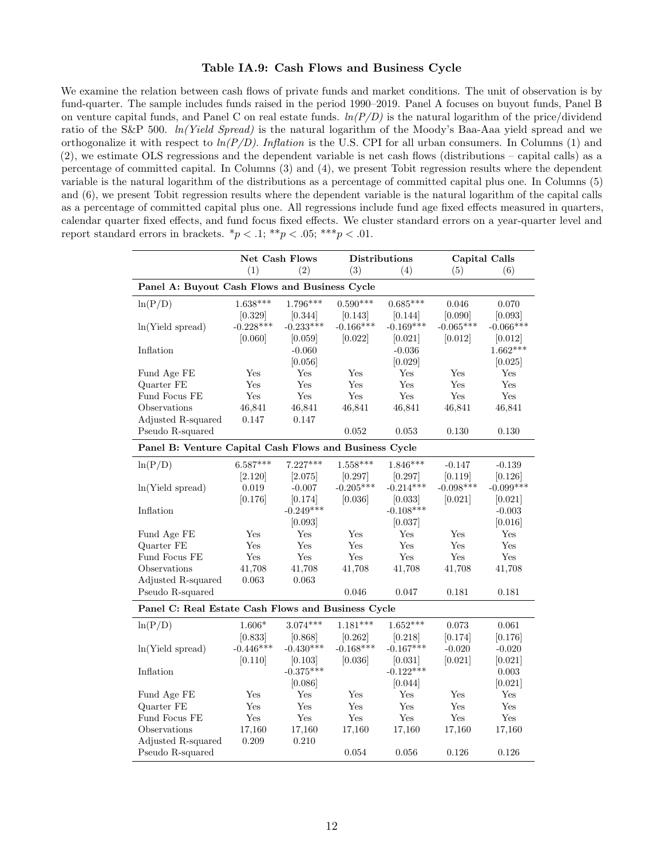#### Table IA.9: Cash Flows and Business Cycle

We examine the relation between cash flows of private funds and market conditions. The unit of observation is by fund-quarter. The sample includes funds raised in the period 1990–2019. Panel A focuses on buyout funds, Panel B on venture capital funds, and Panel C on real estate funds.  $ln(P/D)$  is the natural logarithm of the price/dividend ratio of the S&P 500. ln(Yield Spread) is the natural logarithm of the Moody's Baa-Aaa yield spread and we orthogonalize it with respect to  $ln(P/D)$ . Inflation is the U.S. CPI for all urban consumers. In Columns (1) and (2), we estimate OLS regressions and the dependent variable is net cash flows (distributions – capital calls) as a percentage of committed capital. In Columns (3) and (4), we present Tobit regression results where the dependent variable is the natural logarithm of the distributions as a percentage of committed capital plus one. In Columns (5) and (6), we present Tobit regression results where the dependent variable is the natural logarithm of the capital calls as a percentage of committed capital plus one. All regressions include fund age fixed effects measured in quarters, calendar quarter fixed effects, and fund focus fixed effects. We cluster standard errors on a year-quarter level and report standard errors in brackets.  $\binom{*}{p}$  < .1;  $\binom{**}{p}$  < .05;  $\binom{**}{p}$  < .01.

|                                                        | <b>Net Cash Flows</b> |             | <b>Distributions</b> |             |             | <b>Capital Calls</b> |
|--------------------------------------------------------|-----------------------|-------------|----------------------|-------------|-------------|----------------------|
|                                                        | (1)                   | (2)         | (3)                  | (4)         | (5)         | (6)                  |
| Panel A: Buyout Cash Flows and Business Cycle          |                       |             |                      |             |             |                      |
| ln(P/D)                                                | $1.638***$            | $1.796***$  | $0.590***$           | $0.685***$  | 0.046       | 0.070                |
|                                                        | [0.329]               | [0.344]     | [0.143]              | 0.144       | [0.090]     | [0.093]              |
| ln(Yield spread)                                       | $-0.228***$           | $-0.233***$ | $-0.166***$          | $-0.169***$ | $-0.065***$ | $-0.066***$          |
|                                                        | [0.060]               | [0.059]     | [0.022]              | [0.021]     | [0.012]     | 0.012                |
| Inflation                                              |                       | $-0.060$    |                      | $-0.036$    |             | $1.662***$           |
|                                                        |                       | [0.056]     |                      | [0.029]     |             | [0.025]              |
| Fund Age FE                                            | Yes                   | Yes         | Yes                  | Yes         | Yes         | Yes                  |
| Quarter FE                                             | Yes                   | Yes         | Yes                  | Yes         | Yes         | Yes                  |
| Fund Focus FE                                          | Yes                   | Yes         | Yes                  | Yes         | Yes         | Yes                  |
| Observations                                           | 46,841                | 46,841      | 46,841               | 46,841      | 46,841      | 46,841               |
| Adjusted R-squared                                     | 0.147                 | 0.147       |                      |             |             |                      |
| Pseudo R-squared                                       |                       |             | 0.052                | 0.053       | 0.130       | 0.130                |
| Panel B: Venture Capital Cash Flows and Business Cycle |                       |             |                      |             |             |                      |
| ln(P/D)                                                | $6.587***$            | $7.227***$  | $1.558***$           | $1.846***$  | $-0.147$    | $-0.139$             |
|                                                        | [2.120]               | [2.075]     | [0.297]              | [0.297]     | [0.119]     | [0.126]              |
| ln(Yield spread)                                       | 0.019                 | $-0.007$    | $-0.205***$          | $-0.214***$ | $-0.098***$ | $-0.099***$          |
|                                                        | [0.176]               | [0.174]     | [0.036]              | [0.033]     | [0.021]     | [0.021]              |
| Inflation                                              |                       | $-0.249***$ |                      | $-0.108***$ |             | $-0.003$             |
|                                                        |                       | [0.093]     |                      | [0.037]     |             | [0.016]              |
| Fund Age FE                                            | Yes                   | Yes         | Yes                  | Yes         | Yes         | Yes                  |
| Quarter FE                                             | Yes                   | Yes         | Yes                  | Yes         | Yes         | Yes                  |
| Fund Focus FE                                          | Yes                   | Yes         | Yes                  | Yes         | Yes         | Yes                  |
| Observations                                           | 41,708                | 41,708      | 41,708               | 41,708      | 41,708      | 41,708               |
| Adjusted R-squared                                     | 0.063                 | 0.063       |                      |             |             |                      |
| Pseudo R-squared                                       |                       |             | 0.046                | 0.047       | 0.181       | 0.181                |
| Panel C: Real Estate Cash Flows and Business Cycle     |                       |             |                      |             |             |                      |
| ln(P/D)                                                | $1.606*$              | $3.074***$  | $1.181***$           | $1.652***$  | 0.073       | 0.061                |
|                                                        | [0.833]               | [0.868]     | [0.262]              | [0.218]     | [0.174]     | [0.176]              |
| ln(Yield spread)                                       | $-0.446***$           | $-0.430***$ | $-0.168***$          | $-0.167***$ | $-0.020$    | $-0.020$             |
|                                                        | [0.110]               | [0.103]     | [0.036]              | [0.031]     | [0.021]     | [0.021]              |
| Inflation                                              |                       | $-0.375***$ |                      | $-0.122***$ |             | 0.003                |
|                                                        |                       | [0.086]     |                      | [0.044]     |             | [0.021]              |
| Fund Age FE                                            | Yes                   | Yes         | Yes                  | Yes         | Yes         | Yes                  |
| Quarter FE                                             | Yes                   | Yes         | Yes                  | Yes         | Yes         | Yes                  |
| Fund Focus FE                                          | Yes                   | Yes         | Yes                  | Yes         | Yes         | Yes                  |
| Observations                                           | 17,160                | 17,160      | 17,160               | 17,160      | 17,160      | 17,160               |
| Adjusted R-squared                                     | 0.209                 | 0.210       |                      |             |             |                      |
| Pseudo R-squared                                       |                       |             | 0.054                | 0.056       | 0.126       | 0.126                |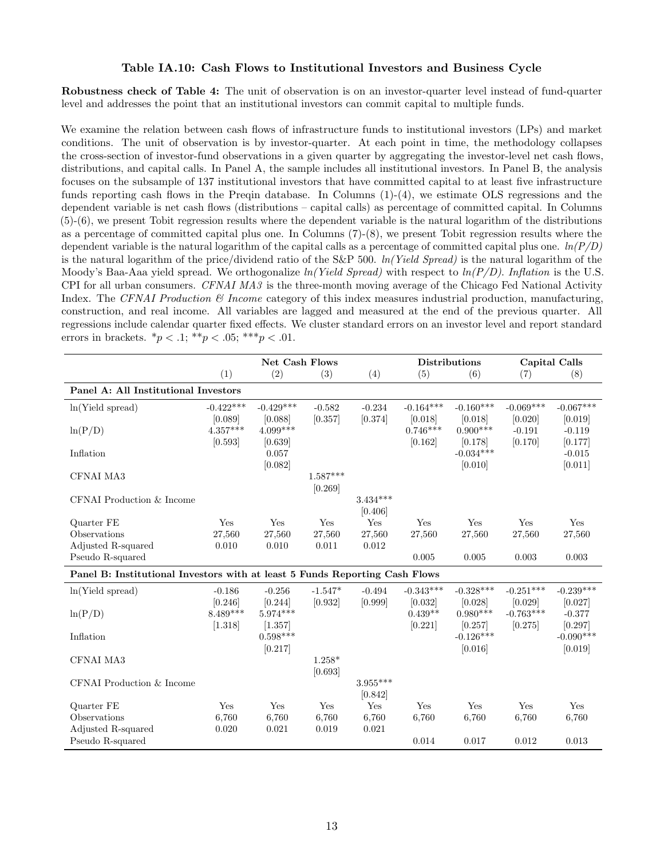#### Table IA.10: Cash Flows to Institutional Investors and Business Cycle

Robustness check of Table 4: The unit of observation is on an investor-quarter level instead of fund-quarter level and addresses the point that an institutional investors can commit capital to multiple funds.

We examine the relation between cash flows of infrastructure funds to institutional investors (LPs) and market conditions. The unit of observation is by investor-quarter. At each point in time, the methodology collapses the cross-section of investor-fund observations in a given quarter by aggregating the investor-level net cash flows, distributions, and capital calls. In Panel A, the sample includes all institutional investors. In Panel B, the analysis focuses on the subsample of 137 institutional investors that have committed capital to at least five infrastructure funds reporting cash flows in the Preqin database. In Columns (1)-(4), we estimate OLS regressions and the dependent variable is net cash flows (distributions – capital calls) as percentage of committed capital. In Columns (5)-(6), we present Tobit regression results where the dependent variable is the natural logarithm of the distributions as a percentage of committed capital plus one. In Columns (7)-(8), we present Tobit regression results where the dependent variable is the natural logarithm of the capital calls as a percentage of committed capital plus one.  $ln(P/D)$ is the natural logarithm of the price/dividend ratio of the  $S\&P$  500.  $ln(Yield\;Spread)$  is the natural logarithm of the Moody's Baa-Aaa yield spread. We orthogonalize  $ln(Yield\; Spread)$  with respect to  $ln(P/D)$ . Inflation is the U.S. CPI for all urban consumers. CFNAI MA3 is the three-month moving average of the Chicago Fed National Activity Index. The CFNAI Production  $\mathcal{B}$  Income category of this index measures industrial production, manufacturing, construction, and real income. All variables are lagged and measured at the end of the previous quarter. All regressions include calendar quarter fixed effects. We cluster standard errors on an investor level and report standard errors in brackets.  $*_{p} < .1;$   $**_{p} < .05;$   $***_{p} < .01$ .

|                                                                             |             | Net Cash Flows        |            |            |             | <b>Distributions</b>   | Capital Calls |                        |
|-----------------------------------------------------------------------------|-------------|-----------------------|------------|------------|-------------|------------------------|---------------|------------------------|
|                                                                             | (1)         | (2)                   | (3)        | (4)        | (5)         | (6)                    | (7)           | (8)                    |
| Panel A: All Institutional Investors                                        |             |                       |            |            |             |                        |               |                        |
| ln(Yield spread)                                                            | $-0.422***$ | $-0.429***$           | $-0.582$   | $-0.234$   | $-0.164***$ | $-0.160***$            | $-0.069***$   | $-0.067***$            |
|                                                                             | [0.089]     | [0.088]               | [0.357]    | [0.374]    | [0.018]     | [0.018]                | [0.020]       | [0.019]                |
| ln(P/D)                                                                     | $4.357***$  | $4.099***$            |            |            | $0.746***$  | $0.900***$             | $-0.191$      | $-0.119$               |
|                                                                             | [0.593]     | [0.639]               |            |            | [0.162]     | [0.178]<br>$-0.034***$ | [0.170]       | [0.177]                |
| Inflation                                                                   |             | 0.057<br>[0.082]      |            |            |             | [0.010]                |               | $-0.015$<br>[0.011]    |
| CFNAI MA3                                                                   |             |                       | $1.587***$ |            |             |                        |               |                        |
|                                                                             |             |                       | [0.269]    |            |             |                        |               |                        |
| CFNAI Production & Income                                                   |             |                       |            | $3.434***$ |             |                        |               |                        |
|                                                                             |             |                       |            | [0.406]    |             |                        |               |                        |
| Quarter FE                                                                  | Yes         | Yes                   | Yes        | Yes        | Yes         | Yes                    | Yes           | Yes                    |
| Observations                                                                | 27,560      | 27,560                | 27,560     | 27,560     | 27,560      | 27,560                 | 27,560        | 27,560                 |
| Adjusted R-squared                                                          | 0.010       | 0.010                 | 0.011      | 0.012      |             |                        |               |                        |
| Pseudo R-squared                                                            |             |                       |            |            | 0.005       | 0.005                  | 0.003         | 0.003                  |
| Panel B: Institutional Investors with at least 5 Funds Reporting Cash Flows |             |                       |            |            |             |                        |               |                        |
| ln(Yield spread)                                                            | $-0.186$    | $-0.256$              | $-1.547*$  | $-0.494$   | $-0.343***$ | $-0.328***$            | $-0.251***$   | $-0.239***$            |
|                                                                             | [0.246]     | [0.244]               | [0.932]    | [0.999]    | [0.032]     | [0.028]                | [0.029]       | [0.027]                |
| ln(P/D)                                                                     | 8.489***    | $5.974***$            |            |            | $0.439**$   | $0.980***$             | $-0.763***$   | $-0.377$               |
|                                                                             | [1.318]     | [1.357]<br>$0.598***$ |            |            | [0.221]     | [0.257]<br>$-0.126***$ | [0.275]       | [0.297]<br>$-0.090***$ |
| Inflation                                                                   |             | [0.217]               |            |            |             | [0.016]                |               | [0.019]                |
| CFNAI MA3                                                                   |             |                       | $1.258*$   |            |             |                        |               |                        |
|                                                                             |             |                       | [0.693]    |            |             |                        |               |                        |
| CFNAI Production & Income                                                   |             |                       |            | $3.955***$ |             |                        |               |                        |
|                                                                             |             |                       |            | [0.842]    |             |                        |               |                        |
| Quarter FE                                                                  | Yes         | Yes                   | Yes        | Yes        | Yes         | Yes                    | Yes           | Yes                    |
| Observations                                                                | 6,760       | 6,760                 | 6,760      | 6,760      | 6,760       | 6,760                  | 6,760         | 6,760                  |
| Adjusted R-squared                                                          | 0.020       | 0.021                 | 0.019      | 0.021      |             |                        |               |                        |
| Pseudo R-squared                                                            |             |                       |            |            | 0.014       | 0.017                  | 0.012         | 0.013                  |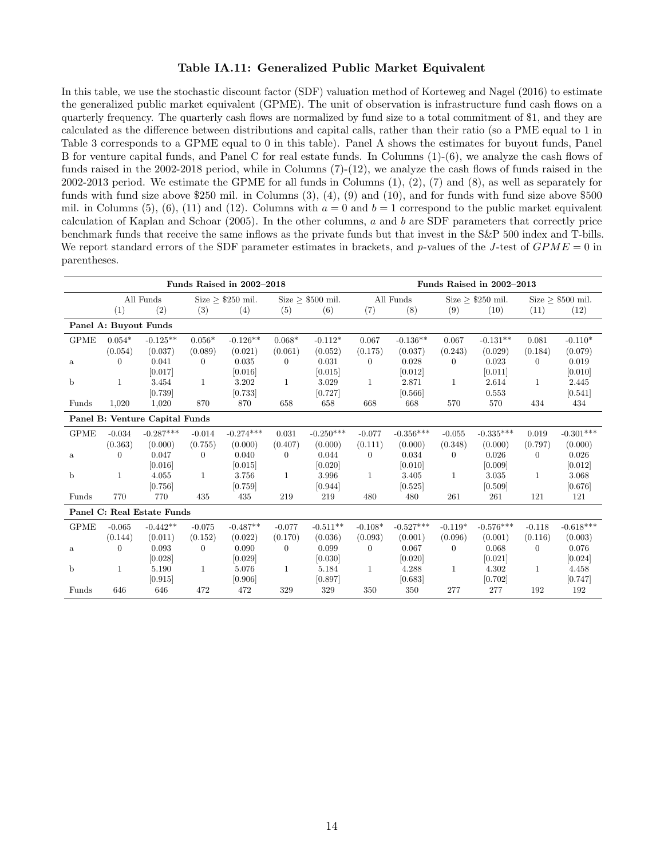#### Table IA.11: Generalized Public Market Equivalent

In this table, we use the stochastic discount factor (SDF) valuation method of Korteweg and Nagel (2016) to estimate the generalized public market equivalent (GPME). The unit of observation is infrastructure fund cash flows on a quarterly frequency. The quarterly cash flows are normalized by fund size to a total commitment of \$1, and they are calculated as the difference between distributions and capital calls, rather than their ratio (so a PME equal to 1 in Table 3 corresponds to a GPME equal to 0 in this table). Panel A shows the estimates for buyout funds, Panel B for venture capital funds, and Panel C for real estate funds. In Columns (1)-(6), we analyze the cash flows of funds raised in the 2002-2018 period, while in Columns (7)-(12), we analyze the cash flows of funds raised in the 2002-2013 period. We estimate the GPME for all funds in Columns (1), (2), (7) and (8), as well as separately for funds with fund size above \$250 mil. in Columns (3), (4), (9) and (10), and for funds with fund size above \$500 mil. in Columns (5), (6), (11) and (12). Columns with  $a = 0$  and  $b = 1$  correspond to the public market equivalent calculation of Kaplan and Schoar (2005). In the other columns, a and b are SDF parameters that correctly price benchmark funds that receive the same inflows as the private funds but that invest in the S&P 500 index and T-bills. We report standard errors of the SDF parameter estimates in brackets, and p-values of the J-test of  $GPME = 0$  in parentheses.

|              | Funds Raised in 2002-2018 |                                |                |                        |             |                    |              | Funds Raised in 2002-2013 |                    |                        |                    |                    |  |
|--------------|---------------------------|--------------------------------|----------------|------------------------|-------------|--------------------|--------------|---------------------------|--------------------|------------------------|--------------------|--------------------|--|
|              |                           | All Funds                      |                | Size $\geq$ \$250 mil. |             | $Size > $500$ mil. |              | All Funds                 |                    | Size $\geq$ \$250 mil. |                    | $Size > $500$ mil. |  |
|              | (1)                       | (2)                            | (3)            | (4)                    | (5)         | (6)                | (7)          | (8)                       | (9)                | (10)                   | (11)               | (12)               |  |
|              | Panel A: Buyout Funds     |                                |                |                        |             |                    |              |                           |                    |                        |                    |                    |  |
| <b>GPME</b>  | $0.054*$                  | $-0.125**$                     | $0.056*$       | $-0.126**$             | $0.068*$    | $-0.112*$          | 0.067        | $-0.136**$                | 0.067              | $-0.131**$             | 0.081              | $-0.110*$          |  |
|              | (0.054)                   | (0.037)                        | (0.089)        | (0.021)                | (0.061)     | (0.052)            | (0.175)      | (0.037)                   | (0.243)            | (0.029)                | (0.184)            | (0.079)            |  |
| $\mathbf{a}$ | 0                         | 0.041                          | $\theta$       | 0.035                  | $\theta$    | 0.031              | $\theta$     | 0.028                     | 0                  | 0.023                  | $\left( 0 \right)$ | 0.019              |  |
|              |                           | [0.017]                        |                | [0.016]                |             | [0.015]            |              | [0.012]                   |                    | [0.011]                |                    | [0.010]            |  |
| $\mathbf b$  | $\mathbf{1}$              | 3.454                          | $\mathbf{1}$   | 3.202                  | 1           | 3.029              | $\mathbf{1}$ | 2.871                     | $\mathbf{1}$       | 2.614                  | $\mathbf{1}$       | 2.445              |  |
|              |                           | [0.739]                        |                | [0.733]                |             | [0.727]            |              | [0.566]                   |                    | 0.553                  |                    | [0.541]            |  |
| Funds        | 1,020                     | 1,020                          | 870            | 870                    | 658         | 658                | 668          | 668                       | 570                | 570                    | 434                | 434                |  |
|              |                           | Panel B: Venture Capital Funds |                |                        |             |                    |              |                           |                    |                        |                    |                    |  |
| <b>GPME</b>  | $-0.034$                  | $-0.287***$                    | $-0.014$       | $-0.274***$            | 0.031       | $-0.250***$        | $-0.077$     | $-0.356***$               | $-0.055$           | $-0.335***$            | 0.019              | $-0.301***$        |  |
|              | (0.363)                   | (0.000)                        | (0.755)        | (0.000)                | (0.407)     | (0.000)            | (0.111)      | (0.000)                   | (0.348)            | (0.000)                | (0.797)            | (0.000)            |  |
| $\mathbf{a}$ | 0                         | 0.047                          | $\overline{0}$ | 0.040                  | $\Omega$    | 0.044              | $\theta$     | 0.034                     | 0                  | 0.026                  | $\left($           | 0.026              |  |
|              |                           | [0.016]                        |                | [0.015]                |             | [0.020]            |              | [0.010]                   |                    | [0.009]                |                    | [0.012]            |  |
| $\mathbf b$  | $\mathbf{1}$              | 4.055                          | $\mathbf{1}$   | 3.756                  | 1           | 3.996              | $\mathbf{1}$ | 3.405                     | $\mathbf{1}$       | 3.035                  | -1                 | 3.068              |  |
|              |                           | [0.756]                        |                | [0.759]                |             | [0.944]            |              | [0.525]                   |                    | [0.509]                |                    | [0.676]            |  |
| Funds        | 770                       | 770                            | 435            | 435                    | 219         | 219                | 480          | 480                       | 261                | 261                    | 121                | 121                |  |
|              |                           | Panel C: Real Estate Funds     |                |                        |             |                    |              |                           |                    |                        |                    |                    |  |
| <b>GPME</b>  | $-0.065$                  | $-0.442**$                     | $-0.075$       | $-0.487**$             | $-0.077$    | $-0.511**$         | $-0.108*$    | $-0.527***$               | $-0.119*$          | $-0.576***$            | $-0.118$           | $-0.618***$        |  |
|              | (0.144)                   | (0.011)                        | (0.152)        | (0.022)                | (0.170)     | (0.036)            | (0.093)      | (0.001)                   | (0.096)            | (0.001)                | (0.116)            | (0.003)            |  |
| $\mathbf{a}$ | $\Omega$                  | 0.093                          | $\theta$       | 0.090                  | $\Omega$    | 0.099              | $\theta$     | 0.067                     | $\left( 0 \right)$ | 0.068                  | $\Omega$           | 0.076              |  |
|              |                           | [0.028]                        |                | [0.029]                |             | [0.030]            |              | [0.020]                   |                    | [0.021]                |                    | [0.024]            |  |
| b            | $\mathbf{1}$              | 5.190                          | $\mathbf{1}$   | 5.076                  | $\mathbf 1$ | 5.184              | $\mathbf{1}$ | 4.288                     | $\mathbf 1$        | 4.302                  | $\mathbf{1}$       | 4.458              |  |
|              |                           | [0.915]                        |                | [0.906]                |             | [0.897]            |              | [0.683]                   |                    | [0.702]                |                    | [0.747]            |  |
| Funds        | 646                       | 646                            | 472            | 472                    | 329         | 329                | 350          | 350                       | 277                | 277                    | 192                | 192                |  |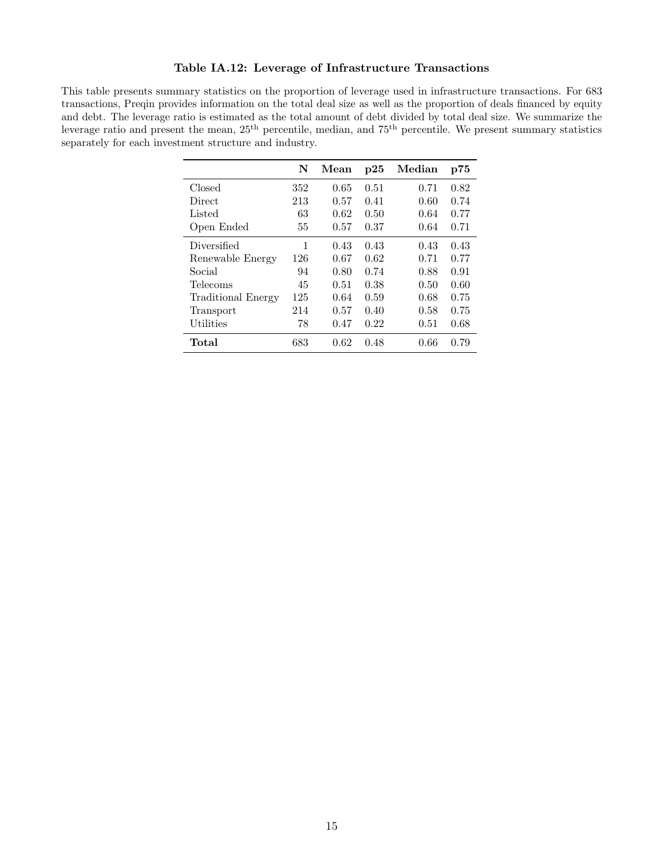## Table IA.12: Leverage of Infrastructure Transactions

This table presents summary statistics on the proportion of leverage used in infrastructure transactions. For 683 transactions, Preqin provides information on the total deal size as well as the proportion of deals financed by equity and debt. The leverage ratio is estimated as the total amount of debt divided by total deal size. We summarize the leverage ratio and present the mean,  $25<sup>th</sup>$  percentile, median, and 75<sup>th</sup> percentile. We present summary statistics separately for each investment structure and industry.

|                    | N   | Mean | p25  | Median | p75  |
|--------------------|-----|------|------|--------|------|
| Closed             | 352 | 0.65 | 0.51 | 0.71   | 0.82 |
| Direct             | 213 | 0.57 | 0.41 | 0.60   | 0.74 |
| Listed             | 63  | 0.62 | 0.50 | 0.64   | 0.77 |
| Open Ended         | 55  | 0.57 | 0.37 | 0.64   | 0.71 |
| Diversified        | 1   | 0.43 | 0.43 | 0.43   | 0.43 |
| Renewable Energy   | 126 | 0.67 | 0.62 | 0.71   | 0.77 |
| Social             | 94  | 0.80 | 0.74 | 0.88   | 0.91 |
| Telecoms           | 45  | 0.51 | 0.38 | 0.50   | 0.60 |
| Traditional Energy | 125 | 0.64 | 0.59 | 0.68   | 0.75 |
| Transport          | 214 | 0.57 | 0.40 | 0.58   | 0.75 |
| Utilities          | 78  | 0.47 | 0.22 | 0.51   | 0.68 |
| Total              | 683 | 0.62 | 0.48 | 0.66   | 0.79 |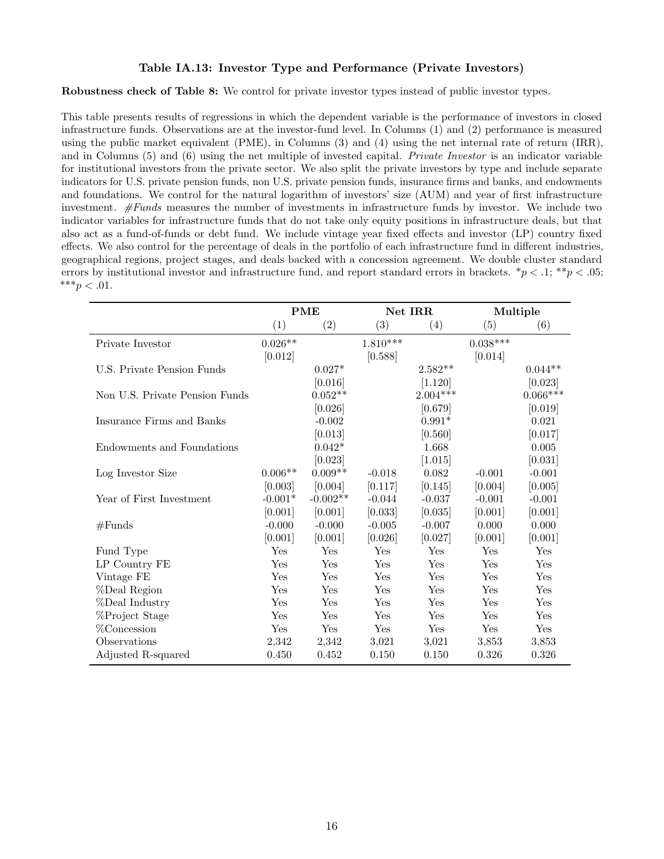### Table IA.13: Investor Type and Performance (Private Investors)

Robustness check of Table 8: We control for private investor types instead of public investor types.

This table presents results of regressions in which the dependent variable is the performance of investors in closed infrastructure funds. Observations are at the investor-fund level. In Columns (1) and (2) performance is measured using the public market equivalent (PME), in Columns (3) and (4) using the net internal rate of return (IRR), and in Columns (5) and (6) using the net multiple of invested capital. Private Investor is an indicator variable for institutional investors from the private sector. We also split the private investors by type and include separate indicators for U.S. private pension funds, non U.S. private pension funds, insurance firms and banks, and endowments and foundations. We control for the natural logarithm of investors' size (AUM) and year of first infrastructure investment.  $#Funds$  measures the number of investments in infrastructure funds by investor. We include two indicator variables for infrastructure funds that do not take only equity positions in infrastructure deals, but that also act as a fund-of-funds or debt fund. We include vintage year fixed effects and investor (LP) country fixed effects. We also control for the percentage of deals in the portfolio of each infrastructure fund in different industries, geographical regions, project stages, and deals backed with a concession agreement. We double cluster standard errors by institutional investor and infrastructure fund, and report standard errors in brackets.  $*_p$  < .1;  $*_p$  < .05; \*\*\* $p < .01$ .

|                                |                    | <b>PME</b>        |                 | Net IRR    |                 | Multiple   |
|--------------------------------|--------------------|-------------------|-----------------|------------|-----------------|------------|
|                                | (1)                | $\left( 2\right)$ | (3)             | (4)        | (5)             | (6)        |
| Private Investor               | $0.026^{\ast\ast}$ |                   | $1.810^{***}\;$ |            | $0.038^{***}\,$ |            |
|                                | [0.012]            |                   | [0.588]         |            | [0.014]         |            |
| U.S. Private Pension Funds     |                    | $0.027*$          |                 | $2.582**$  |                 | $0.044**$  |
|                                |                    | [0.016]           |                 | [1.120]    |                 | [0.023]    |
| Non U.S. Private Pension Funds |                    | $0.052**$         |                 | $2.004***$ |                 | $0.066***$ |
|                                |                    | [0.026]           |                 | [0.679]    |                 | [0.019]    |
| Insurance Firms and Banks      |                    | $-0.002$          |                 | $0.991*$   |                 | 0.021      |
|                                |                    | [0.013]           |                 | [0.560]    |                 | [0.017]    |
| Endowments and Foundations     |                    | $0.042*$          |                 | 1.668      |                 | 0.005      |
|                                |                    | [0.023]           |                 | [1.015]    |                 | [0.031]    |
| Log Investor Size              | $0.006**$          | $0.009**$         | $-0.018$        | 0.082      | $-0.001$        | $-0.001$   |
|                                | [0.003]            | [0.004]           | [0.117]         | [0.145]    | [0.004]         | [0.005]    |
| Year of First Investment       | $-0.001*$          | $-0.002**$        | $-0.044$        | $-0.037$   | $-0.001$        | $-0.001$   |
|                                | [0.001]            | [0.001]           | [0.033]         | [0.035]    | [0.001]         | [0.001]    |
| #Funds                         | $-0.000$           | $-0.000$          | $-0.005$        | $-0.007$   | 0.000           | 0.000      |
|                                | [0.001]            | [0.001]           | [0.026]         | [0.027]    | [0.001]         | [0.001]    |
| Fund Type                      | Yes                | Yes               | Yes             | Yes        | Yes             | Yes        |
| LP Country FE                  | Yes                | Yes               | Yes             | Yes        | Yes             | Yes        |
| Vintage FE                     | Yes                | Yes               | Yes             | Yes        | Yes             | Yes        |
| %Deal Region                   | Yes                | Yes               | Yes             | Yes        | Yes             | Yes        |
| %Deal Industry                 | Yes                | Yes               | Yes             | Yes        | Yes             | Yes        |
| %Project Stage                 | Yes                | Yes               | Yes             | Yes        | Yes             | Yes        |
| %Concession                    | Yes                | Yes               | Yes             | Yes        | Yes             | Yes        |
| Observations                   | 2,342              | 2,342             | 3,021           | 3,021      | 3,853           | 3,853      |
| Adjusted R-squared             | 0.450              | 0.452             | 0.150           | 0.150      | 0.326           | 0.326      |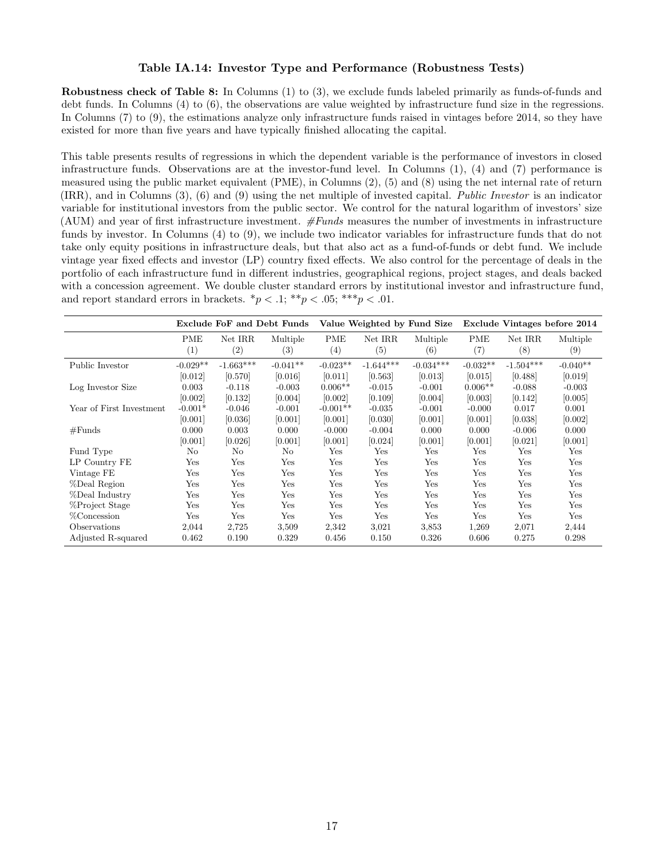#### Table IA.14: Investor Type and Performance (Robustness Tests)

Robustness check of Table 8: In Columns (1) to (3), we exclude funds labeled primarily as funds-of-funds and debt funds. In Columns (4) to (6), the observations are value weighted by infrastructure fund size in the regressions. In Columns (7) to (9), the estimations analyze only infrastructure funds raised in vintages before 2014, so they have existed for more than five years and have typically finished allocating the capital.

This table presents results of regressions in which the dependent variable is the performance of investors in closed infrastructure funds. Observations are at the investor-fund level. In Columns (1), (4) and (7) performance is measured using the public market equivalent (PME), in Columns (2), (5) and (8) using the net internal rate of return (IRR), and in Columns (3), (6) and (9) using the net multiple of invested capital. Public Investor is an indicator variable for institutional investors from the public sector. We control for the natural logarithm of investors' size (AUM) and year of first infrastructure investment.  $#Funds$  measures the number of investments in infrastructure funds by investor. In Columns (4) to (9), we include two indicator variables for infrastructure funds that do not take only equity positions in infrastructure deals, but that also act as a fund-of-funds or debt fund. We include vintage year fixed effects and investor (LP) country fixed effects. We also control for the percentage of deals in the portfolio of each infrastructure fund in different industries, geographical regions, project stages, and deals backed with a concession agreement. We double cluster standard errors by institutional investor and infrastructure fund, and report standard errors in brackets.  $\binom{*}{p}$  < .1;  $\binom{**}{p}$  < .05;  $\binom{***}{p}$  < .01.

|                          |            | Exclude FoF and Debt Funds |                   |                   | Value Weighted by Fund Size |             |            | Exclude Vintages before 2014 |            |  |
|--------------------------|------------|----------------------------|-------------------|-------------------|-----------------------------|-------------|------------|------------------------------|------------|--|
|                          | PME        | Net IRR                    | Multiple          | PME               | Net IRR                     | Multiple    | PME        | Net IRR                      | Multiple   |  |
|                          | (1)        | $\left( 2\right)$          | $\left( 3\right)$ | $\left( 4\right)$ | (5)                         | (6)         | (7)        | (8)                          | (9)        |  |
| Public Investor          | $-0.029**$ | $-1.663***$                | $-0.041**$        | $-0.023**$        | $-1.644***$                 | $-0.034***$ | $-0.032**$ | $-1.504***$                  | $-0.040**$ |  |
|                          | [0.012]    | [0.570]                    | [0.016]           | [0.011]           | [0.563]                     | [0.013]     | [0.015]    | [0.488]                      | [0.019]    |  |
| Log Investor Size        | 0.003      | $-0.118$                   | $-0.003$          | $0.006**$         | $-0.015$                    | $-0.001$    | $0.006**$  | $-0.088$                     | $-0.003$   |  |
|                          | [0.002]    | [0.132]                    | [0.004]           | [0.002]           | [0.109]                     | [0.004]     | [0.003]    | [0.142]                      | [0.005]    |  |
| Year of First Investment | $-0.001*$  | $-0.046$                   | $-0.001$          | $-0.001**$        | $-0.035$                    | $-0.001$    | $-0.000$   | 0.017                        | 0.001      |  |
|                          | [0.001]    | [0.036]                    | [0.001]           | [0.001]           | [0.030]                     | [0.001]     | [0.001]    | [0.038]                      | [0.002]    |  |
| #Funds                   | 0.000      | 0.003                      | 0.000             | $-0.000$          | $-0.004$                    | 0.000       | 0.000      | $-0.006$                     | 0.000      |  |
|                          | [0.001]    | [0.026]                    | [0.001]           | [0.001]           | [0.024]                     | [0.001]     | [0.001]    | [0.021]                      | [0.001]    |  |
| Fund Type                | No         | No                         | No                | Yes               | Yes                         | Yes         | Yes        | Yes                          | Yes        |  |
| LP Country FE            | Yes        | Yes                        | Yes               | Yes               | Yes                         | Yes         | Yes        | Yes                          | Yes        |  |
| Vintage FE               | Yes        | Yes                        | Yes               | Yes               | Yes                         | Yes         | Yes        | Yes                          | Yes        |  |
| %Deal Region             | Yes        | Yes                        | Yes               | Yes               | Yes                         | Yes         | Yes        | Yes                          | Yes        |  |
| %Deal Industry           | Yes        | Yes                        | Yes               | Yes               | Yes                         | Yes         | Yes        | Yes                          | Yes        |  |
| %Project Stage           | Yes        | Yes                        | Yes               | Yes               | Yes                         | Yes         | Yes        | Yes                          | Yes        |  |
| %Concession              | Yes        | Yes                        | Yes               | Yes               | Yes                         | Yes         | Yes        | Yes                          | Yes        |  |
| Observations             | 2,044      | 2,725                      | 3,509             | 2,342             | 3,021                       | 3,853       | 1,269      | 2,071                        | 2,444      |  |
| Adjusted R-squared       | 0.462      | 0.190                      | 0.329             | 0.456             | 0.150                       | 0.326       | 0.606      | 0.275                        | 0.298      |  |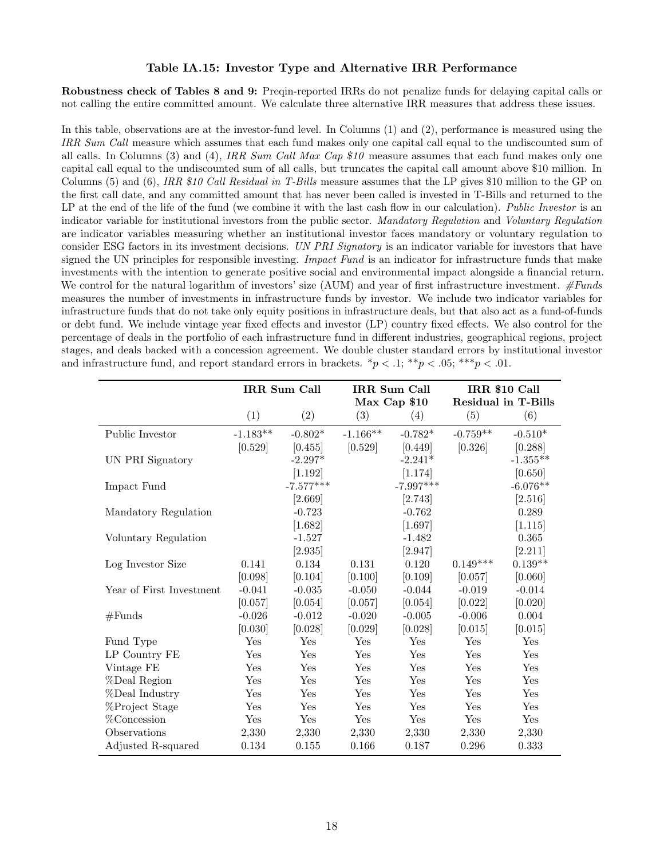#### Table IA.15: Investor Type and Alternative IRR Performance

Robustness check of Tables 8 and 9: Preqin-reported IRRs do not penalize funds for delaying capital calls or not calling the entire committed amount. We calculate three alternative IRR measures that address these issues.

In this table, observations are at the investor-fund level. In Columns (1) and (2), performance is measured using the IRR Sum Call measure which assumes that each fund makes only one capital call equal to the undiscounted sum of all calls. In Columns (3) and (4), IRR Sum Call Max Cap  $$10$  measure assumes that each fund makes only one capital call equal to the undiscounted sum of all calls, but truncates the capital call amount above \$10 million. In Columns (5) and (6), IRR \$10 Call Residual in T-Bills measure assumes that the LP gives \$10 million to the GP on the first call date, and any committed amount that has never been called is invested in T-Bills and returned to the LP at the end of the life of the fund (we combine it with the last cash flow in our calculation). Public Investor is an indicator variable for institutional investors from the public sector. Mandatory Regulation and Voluntary Regulation are indicator variables measuring whether an institutional investor faces mandatory or voluntary regulation to consider ESG factors in its investment decisions. UN PRI Signatory is an indicator variable for investors that have signed the UN principles for responsible investing. *Impact Fund* is an indicator for infrastructure funds that make investments with the intention to generate positive social and environmental impact alongside a financial return. We control for the natural logarithm of investors' size (AUM) and year of first infrastructure investment.  $\#Funds$ measures the number of investments in infrastructure funds by investor. We include two indicator variables for infrastructure funds that do not take only equity positions in infrastructure deals, but that also act as a fund-of-funds or debt fund. We include vintage year fixed effects and investor (LP) country fixed effects. We also control for the percentage of deals in the portfolio of each infrastructure fund in different industries, geographical regions, project stages, and deals backed with a concession agreement. We double cluster standard errors by institutional investor and infrastructure fund, and report standard errors in brackets.  $\binom{p}{1} \binom{4}{p} \binom{6}{p} \binom{4}{p} \binom{6}{p}$ 

|                          |            | IRR Sum Call          | IRR Sum Call<br>Max Cap \$10 |             |            | IRR \$10 Call<br><b>Residual in T-Bills</b> |  |
|--------------------------|------------|-----------------------|------------------------------|-------------|------------|---------------------------------------------|--|
|                          | (1)        | (2)                   | (3)                          | (4)         | (5)        | (6)                                         |  |
| Public Investor          | $-1.183**$ | $-0.802*$             | $-1.166**$                   | $-0.782*$   | $-0.759**$ | $-0.510*$                                   |  |
|                          | [0.529]    | [0.455]               | [0.529]                      | [0.449]     | [0.326]    | [0.288]                                     |  |
| UN PRI Signatory         |            | $-2.297*$             |                              | $-2.241*$   |            | $-1.355**$                                  |  |
|                          |            | [1.192]               |                              | [1.174]     |            | [0.650]                                     |  |
| Impact Fund              |            | $-7.577***$           |                              | $-7.997***$ |            | $-6.076**$                                  |  |
|                          |            | $[2.669]$             |                              | [2.743]     |            | [2.516]                                     |  |
| Mandatory Regulation     |            | $-0.723$              |                              | $-0.762$    |            | 0.289                                       |  |
|                          |            | [1.682]               |                              | [1.697]     |            | [1.115]                                     |  |
| Voluntary Regulation     |            | $-1.527$              |                              | $-1.482$    |            | 0.365                                       |  |
|                          |            | $\left[ 2.935\right]$ |                              | [2.947]     |            | [2.211]                                     |  |
| Log Investor Size        | 0.141      | 0.134                 | 0.131                        | 0.120       | $0.149***$ | $0.139**$                                   |  |
|                          | [0.098]    | [0.104]               | [0.100]                      | [0.109]     | [0.057]    | [0.060]                                     |  |
| Year of First Investment | $-0.041$   | $-0.035$              | $-0.050$                     | $-0.044$    | $-0.019$   | $-0.014$                                    |  |
|                          | [0.057]    | [0.054]               | [0.057]                      | [0.054]     | [0.022]    | [0.020]                                     |  |
| #Funds                   | $-0.026$   | $-0.012$              | $-0.020$                     | $-0.005$    | $-0.006$   | 0.004                                       |  |
|                          | [0.030]    | [0.028]               | [0.029]                      | [0.028]     | [0.015]    | [0.015]                                     |  |
| Fund Type                | Yes        | Yes                   | Yes                          | Yes         | Yes        | Yes                                         |  |
| LP Country FE            | Yes        | Yes                   | Yes                          | Yes         | Yes        | Yes                                         |  |
| Vintage FE               | Yes        | Yes                   | Yes                          | Yes         | Yes        | Yes                                         |  |
| %Deal Region             | Yes        | Yes                   | Yes                          | Yes         | Yes        | Yes                                         |  |
| %Deal Industry           | Yes        | Yes                   | Yes                          | Yes         | Yes        | Yes                                         |  |
| %Project Stage           | Yes        | Yes                   | Yes                          | Yes         | Yes        | Yes                                         |  |
| %Concession              | Yes        | Yes                   | Yes                          | Yes         | Yes        | Yes                                         |  |
| Observations             | 2,330      | 2,330                 | 2,330                        | 2,330       | 2,330      | 2,330                                       |  |
| Adjusted R-squared       | 0.134      | 0.155                 | 0.166                        | 0.187       | 0.296      | 0.333                                       |  |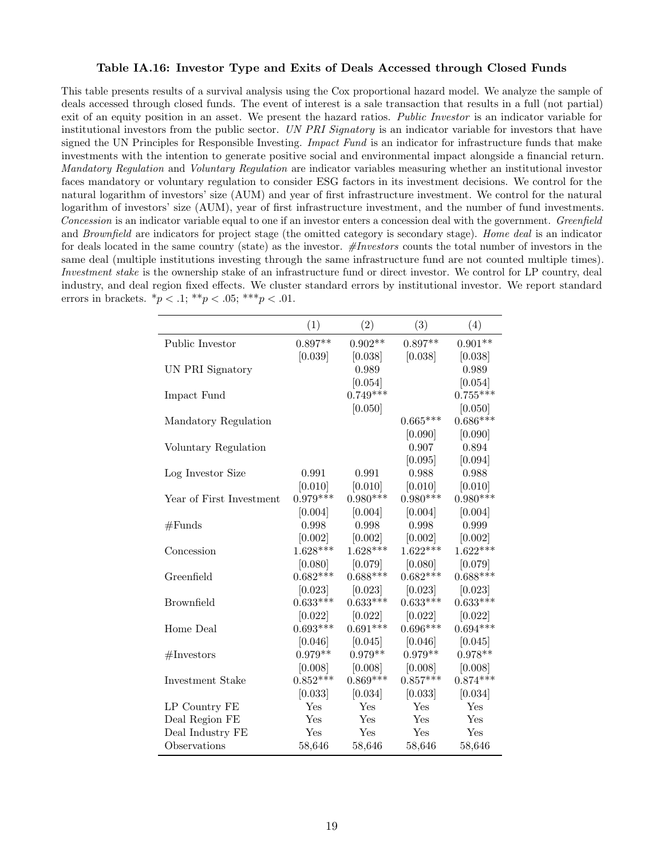#### Table IA.16: Investor Type and Exits of Deals Accessed through Closed Funds

This table presents results of a survival analysis using the Cox proportional hazard model. We analyze the sample of deals accessed through closed funds. The event of interest is a sale transaction that results in a full (not partial) exit of an equity position in an asset. We present the hazard ratios. Public Investor is an indicator variable for institutional investors from the public sector. UN PRI Signatory is an indicator variable for investors that have signed the UN Principles for Responsible Investing. *Impact Fund* is an indicator for infrastructure funds that make investments with the intention to generate positive social and environmental impact alongside a financial return. Mandatory Regulation and Voluntary Regulation are indicator variables measuring whether an institutional investor faces mandatory or voluntary regulation to consider ESG factors in its investment decisions. We control for the natural logarithm of investors' size (AUM) and year of first infrastructure investment. We control for the natural logarithm of investors' size (AUM), year of first infrastructure investment, and the number of fund investments. Concession is an indicator variable equal to one if an investor enters a concession deal with the government. Greenfield and Brownfield are indicators for project stage (the omitted category is secondary stage). Home deal is an indicator for deals located in the same country (state) as the investor.  $\#Investors$  counts the total number of investors in the same deal (multiple institutions investing through the same infrastructure fund are not counted multiple times). Investment stake is the ownership stake of an infrastructure fund or direct investor. We control for LP country, deal industry, and deal region fixed effects. We cluster standard errors by institutional investor. We report standard errors in brackets.  $*_{p} < .1;$   $**_{p} < .05;$   $***_{p} < .01$ .

|                          | (1)        | (2)        | (3)        | (4)        |
|--------------------------|------------|------------|------------|------------|
| Public Investor          | $0.897**$  | $0.902**$  | $0.897**$  | $0.901**$  |
|                          | [0.039]    | [0.038]    | [0.038]    | [0.038]    |
| UN PRI Signatory         |            | 0.989      |            | 0.989      |
|                          |            | [0.054]    |            | [0.054]    |
| Impact Fund              |            | $0.749***$ |            | $0.755***$ |
|                          |            | [0.050]    |            | [0.050]    |
| Mandatory Regulation     |            |            | $0.665***$ | $0.686***$ |
|                          |            |            | [0.090]    | [0.090]    |
| Voluntary Regulation     |            |            | 0.907      | 0.894      |
|                          |            |            | [0.095]    | [0.094]    |
| Log Investor Size        | 0.991      | 0.991      | 0.988      | 0.988      |
|                          | [0.010]    | [0.010]    | [0.010]    | [0.010]    |
| Year of First Investment | $0.979***$ | $0.980***$ | $0.980***$ | $0.980***$ |
|                          | [0.004]    | [0.004]    | [0.004]    | [0.004]    |
| #Funds                   | 0.998      | 0.998      | 0.998      | 0.999      |
|                          | [0.002]    | [0.002]    | [0.002]    | [0.002]    |
| Concession               | $1.628***$ | $1.628***$ | $1.622***$ | $1.622***$ |
|                          | [0.080]    | [0.079]    | [0.080]    | [0.079]    |
| Greenfield               | $0.682***$ | $0.688***$ | $0.682***$ | $0.688***$ |
|                          | [0.023]    | [0.023]    | [0.023]    | [0.023]    |
| <b>Brownfield</b>        | $0.633***$ | $0.633***$ | $0.633***$ | $0.633***$ |
|                          | [0.022]    | [0.022]    | [0.022]    | [0.022]    |
| Home Deal                | $0.693***$ | $0.691***$ | $0.696***$ | $0.694***$ |
|                          | [0.046]    | [0.045]    | [0.046]    | [0.045]    |
| $\#\text{Investors}$     | $0.979**$  | $0.979**$  | $0.979**$  | $0.978**$  |
|                          | [0.008]    | [0.008]    | [0.008]    | [0.008]    |
| Investment Stake         | $0.852***$ | $0.869***$ | $0.857***$ | $0.874***$ |
|                          | [0.033]    | [0.034]    | [0.033]    | [0.034]    |
| LP Country FE            | Yes        | Yes        | Yes        | Yes        |
| Deal Region FE           | Yes        | Yes        | Yes        | Yes        |
| Deal Industry FE         | Yes        | Yes        | Yes        | Yes        |
| Observations             | 58,646     | 58,646     | 58,646     | 58,646     |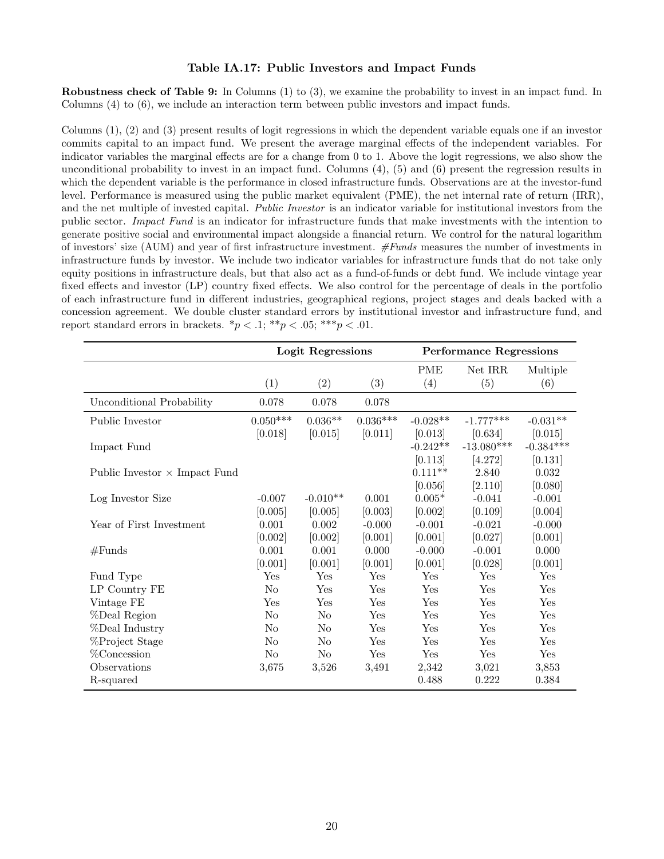#### Table IA.17: Public Investors and Impact Funds

Robustness check of Table 9: In Columns (1) to (3), we examine the probability to invest in an impact fund. In Columns (4) to (6), we include an interaction term between public investors and impact funds.

Columns (1), (2) and (3) present results of logit regressions in which the dependent variable equals one if an investor commits capital to an impact fund. We present the average marginal effects of the independent variables. For indicator variables the marginal effects are for a change from 0 to 1. Above the logit regressions, we also show the unconditional probability to invest in an impact fund. Columns  $(4)$ ,  $(5)$  and  $(6)$  present the regression results in which the dependent variable is the performance in closed infrastructure funds. Observations are at the investor-fund level. Performance is measured using the public market equivalent (PME), the net internal rate of return (IRR), and the net multiple of invested capital. *Public Investor* is an indicator variable for institutional investors from the public sector. Impact Fund is an indicator for infrastructure funds that make investments with the intention to generate positive social and environmental impact alongside a financial return. We control for the natural logarithm of investors' size (AUM) and year of first infrastructure investment. #Funds measures the number of investments in infrastructure funds by investor. We include two indicator variables for infrastructure funds that do not take only equity positions in infrastructure deals, but that also act as a fund-of-funds or debt fund. We include vintage year fixed effects and investor (LP) country fixed effects. We also control for the percentage of deals in the portfolio of each infrastructure fund in different industries, geographical regions, project stages and deals backed with a concession agreement. We double cluster standard errors by institutional investor and infrastructure fund, and report standard errors in brackets.  $\binom{*}{p} < 0.1$ ;  $\binom{*}{p} < 0.05$ ;  $\binom{*}{p} < 0.01$ .

|                                      |                 | Logit Regressions |            |            | <b>Performance Regressions</b> |             |
|--------------------------------------|-----------------|-------------------|------------|------------|--------------------------------|-------------|
|                                      |                 |                   |            | <b>PME</b> | Net IRR                        | Multiple    |
|                                      | (1)             | (2)               | (3)        | (4)        | (5)                            | (6)         |
| Unconditional Probability            | 0.078           | 0.078             | 0.078      |            |                                |             |
| Public Investor                      | $0.050^{***}\;$ | $0.036**$         | $0.036***$ | $-0.028**$ | $-1.777***$                    | $-0.031**$  |
|                                      | [0.018]         | [0.015]           | [0.011]    | [0.013]    | [0.634]                        | [0.015]     |
| Impact Fund                          |                 |                   |            | $-0.242**$ | $-13.080***$                   | $-0.384***$ |
|                                      |                 |                   |            | [0.113]    | [4.272]                        | [0.131]     |
| Public Investor $\times$ Impact Fund |                 |                   |            | $0.111**$  | 2.840                          | 0.032       |
|                                      |                 |                   |            | [0.056]    | [2.110]                        | [0.080]     |
| Log Investor Size                    | $-0.007$        | $-0.010**$        | 0.001      | $0.005*$   | $-0.041$                       | $-0.001$    |
|                                      | [0.005]         | [0.005]           | [0.003]    | [0.002]    | [0.109]                        | [0.004]     |
| Year of First Investment             | 0.001           | 0.002             | $-0.000$   | $-0.001$   | $-0.021$                       | $-0.000$    |
|                                      | [0.002]         | [0.002]           | [0.001]    | [0.001]    | [0.027]                        | [0.001]     |
| #Funds                               | 0.001           | 0.001             | 0.000      | $-0.000$   | $-0.001$                       | 0.000       |
|                                      | [0.001]         | [0.001]           | [0.001]    | [0.001]    | [0.028]                        | [0.001]     |
| Fund Type                            | Yes             | Yes               | Yes        | Yes        | Yes                            | Yes         |
| LP Country FE                        | N <sub>o</sub>  | Yes               | Yes        | Yes        | Yes                            | Yes         |
| Vintage FE                           | Yes             | Yes               | Yes        | Yes        | Yes                            | Yes         |
| %Deal Region                         | N <sub>o</sub>  | N <sub>o</sub>    | Yes        | Yes        | Yes                            | Yes         |
| %Deal Industry                       | N <sub>o</sub>  | N <sub>o</sub>    | Yes        | Yes        | Yes                            | Yes         |
| %Project Stage                       | N <sub>o</sub>  | No                | Yes        | Yes        | Yes                            | Yes         |
| %Concession                          | No              | N <sub>o</sub>    | Yes        | Yes        | Yes                            | Yes         |
| Observations                         | 3,675           | 3,526             | 3,491      | 2,342      | 3,021                          | 3,853       |
| R-squared                            |                 |                   |            | 0.488      | 0.222                          | 0.384       |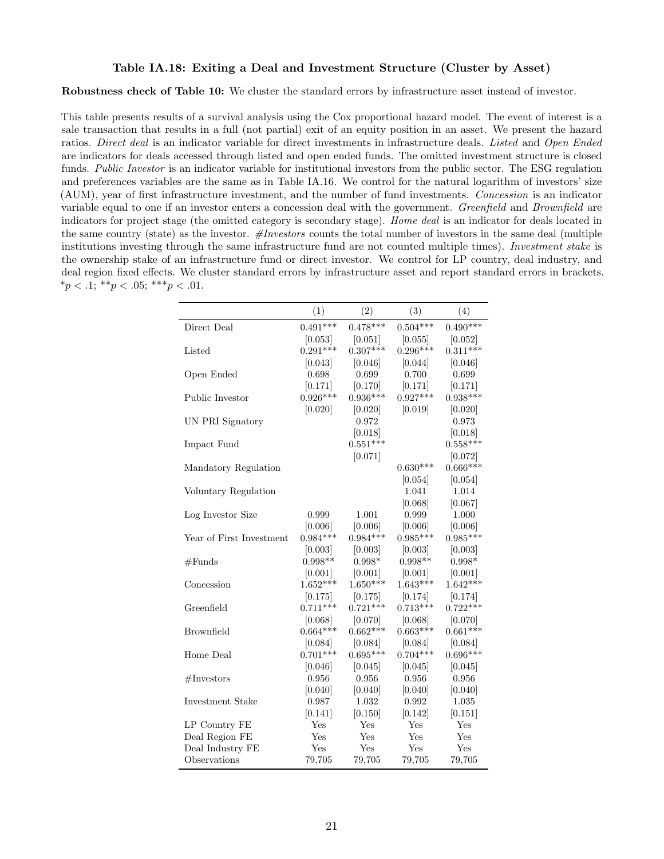#### Table IA.18: Exiting a Deal and Investment Structure (Cluster by Asset)

Robustness check of Table 10: We cluster the standard errors by infrastructure asset instead of investor.

This table presents results of a survival analysis using the Cox proportional hazard model. The event of interest is a sale transaction that results in a full (not partial) exit of an equity position in an asset. We present the hazard ratios. Direct deal is an indicator variable for direct investments in infrastructure deals. Listed and Open Ended are indicators for deals accessed through listed and open ended funds. The omitted investment structure is closed funds. Public Investor is an indicator variable for institutional investors from the public sector. The ESG regulation and preferences variables are the same as in Table IA.16. We control for the natural logarithm of investors' size (AUM), year of first infrastructure investment, and the number of fund investments. Concession is an indicator variable equal to one if an investor enters a concession deal with the government. Greenfield and Brownfield are indicators for project stage (the omitted category is secondary stage). Home deal is an indicator for deals located in the same country (state) as the investor.  $\#Investors$  counts the total number of investors in the same deal (multiple institutions investing through the same infrastructure fund are not counted multiple times). *Investment stake* is the ownership stake of an infrastructure fund or direct investor. We control for LP country, deal industry, and deal region fixed effects. We cluster standard errors by infrastructure asset and report standard errors in brackets.  $*_{p} < 0.1; *_{p} < 0.05; *^{**}_{p} < 0.01.$ 

|                          | (1)        | (2)        | (3)        | (4)        |
|--------------------------|------------|------------|------------|------------|
| Direct Deal              | $0.491***$ | $0.478***$ | $0.504***$ | $0.490***$ |
|                          | [0.053]    | [0.051]    | [0.055]    | [0.052]    |
| Listed                   | $0.291***$ | $0.307***$ | $0.296***$ | $0.311***$ |
|                          | [0.043]    | [0.046]    | [0.044]    | [0.046]    |
| Open Ended               | 0.698      | 0.699      | 0.700      | 0.699      |
|                          | [0.171]    | [0.170]    | [0.171]    | [0.171]    |
| Public Investor          | $0.926***$ | $0.936***$ | $0.927***$ | $0.938***$ |
|                          | [0.020]    | [0.020]    | [0.019]    | [0.020]    |
| UN PRI Signatory         |            | 0.972      |            | 0.973      |
|                          |            | [0.018]    |            | [0.018]    |
| Impact Fund              |            | $0.551***$ |            | $0.558***$ |
|                          |            | [0.071]    |            | [0.072]    |
| Mandatory Regulation     |            |            | $0.630***$ | $0.666***$ |
|                          |            |            | [0.054]    | [0.054]    |
| Voluntary Regulation     |            |            | 1.041      | 1.014      |
|                          |            |            | [0.068]    | [0.067]    |
| Log Investor Size        | 0.999      | 1.001      | 0.999      | 1.000      |
|                          | [0.006]    | [0.006]    | [0.006]    | [0.006]    |
| Year of First Investment | $0.984***$ | $0.984***$ | $0.985***$ | $0.985***$ |
|                          | [0.003]    | [0.003]    | [0.003]    | [0.003]    |
| #Funds                   | $0.998**$  | $0.998*$   | $0.998**$  | $0.998*$   |
|                          | [0.001]    | [0.001]    | [0.001]    | [0.001]    |
| Concession               | $1.652***$ | $1.650***$ | $1.643***$ | $1.642***$ |
|                          | [0.175]    | [0.175]    | [0.174]    | [0.174]    |
| Greenfield               | $0.711***$ | $0.721***$ | $0.713***$ | $0.722***$ |
|                          | [0.068]    | [0.070]    | [0.068]    | [0.070]    |
| <b>Brownfield</b>        | $0.664***$ | $0.662***$ | $0.663***$ | $0.661***$ |
|                          | [0.084]    | [0.084]    | [0.084]    | [0.084]    |
| Home Deal                | $0.701***$ | $0.695***$ | $0.704***$ | $0.696***$ |
|                          | [0.046]    | [0.045]    | [0.045]    | [0.045]    |
| $\#\text{Investors}$     | 0.956      | 0.956      | 0.956      | 0.956      |
|                          | [0.040]    | [0.040]    | [0.040]    | [0.040]    |
| Investment Stake         | 0.987      | 1.032      | 0.992      | 1.035      |
|                          | [0.141]    | [0.150]    | [0.142]    | [0.151]    |
| LP Country FE            | Yes        | Yes        | Yes        | Yes        |
| Deal Region FE           | Yes        | Yes        | Yes        | Yes        |
| Deal Industry FE         | Yes        | Yes        | Yes        | Yes        |
| Observations             | 79,705     | 79,705     | 79,705     | 79,705     |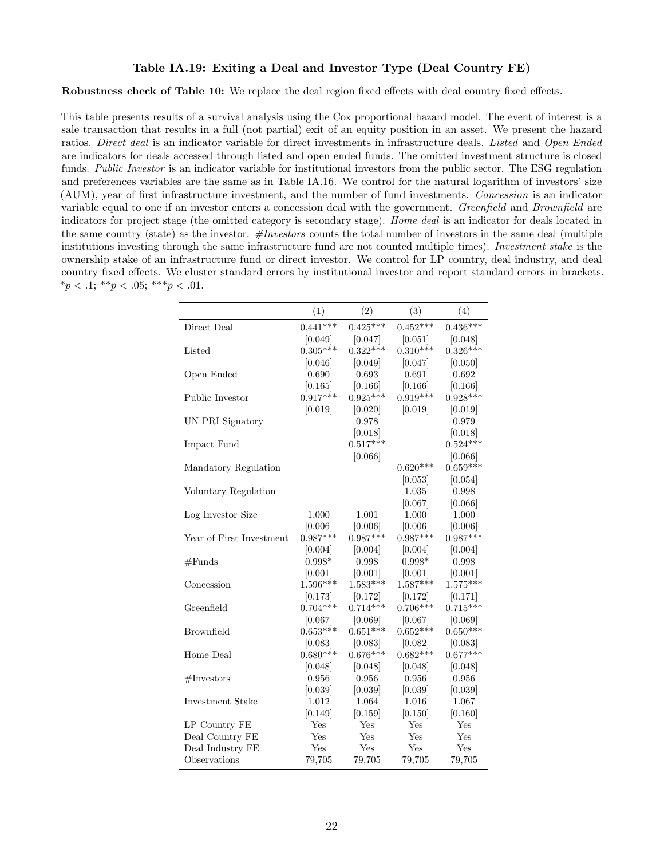#### Table IA.19: Exiting a Deal and Investor Type (Deal Country FE)

Robustness check of Table 10: We replace the deal region fixed effects with deal country fixed effects.

This table presents results of a survival analysis using the Cox proportional hazard model. The event of interest is a sale transaction that results in a full (not partial) exit of an equity position in an asset. We present the hazard ratios. Direct deal is an indicator variable for direct investments in infrastructure deals. Listed and Open Ended are indicators for deals accessed through listed and open ended funds. The omitted investment structure is closed funds. Public Investor is an indicator variable for institutional investors from the public sector. The ESG regulation and preferences variables are the same as in Table IA.16. We control for the natural logarithm of investors' size (AUM), year of first infrastructure investment, and the number of fund investments. Concession is an indicator variable equal to one if an investor enters a concession deal with the government. Greenfield and Brownfield are indicators for project stage (the omitted category is secondary stage). Home deal is an indicator for deals located in the same country (state) as the investor.  $#Investors$  counts the total number of investors in the same deal (multiple institutions investing through the same infrastructure fund are not counted multiple times). Investment stake is the ownership stake of an infrastructure fund or direct investor. We control for LP country, deal industry, and deal country fixed effects. We cluster standard errors by institutional investor and report standard errors in brackets.  $*_{p} < 0.1; **_{p} < 0.05; **_{p} < 0.01.$ 

|                          | (1)        | (2)        | (3)        | (4)        |
|--------------------------|------------|------------|------------|------------|
| Direct Deal              | $0.441***$ | $0.425***$ | $0.452***$ | $0.436***$ |
|                          | [0.049]    | [0.047]    | [0.051]    | [0.048]    |
| Listed                   | $0.305***$ | $0.322***$ | $0.310***$ | $0.326***$ |
|                          | [0.046]    | [0.049]    | [0.047]    | [0.050]    |
| Open Ended               | 0.690      | 0.693      | 0.691      | 0.692      |
|                          | [0.165]    | [0.166]    | [0.166]    | [0.166]    |
| Public Investor          | $0.917***$ | $0.925***$ | $0.919***$ | $0.928***$ |
|                          | [0.019]    | [0.020]    | [0.019]    | [0.019]    |
| UN PRI Signatory         |            | 0.978      |            | 0.979      |
|                          |            | [0.018]    |            | [0.018]    |
| Impact Fund              |            | $0.517***$ |            | $0.524***$ |
|                          |            | [0.066]    |            | [0.066]    |
| Mandatory Regulation     |            |            | $0.620***$ | $0.659***$ |
|                          |            |            | [0.053]    | [0.054]    |
| Voluntary Regulation     |            |            | 1.035      | 0.998      |
|                          |            |            | [0.067]    | [0.066]    |
| Log Investor Size        | 1.000      | 1.001      | 1.000      | 1.000      |
|                          | [0.006]    | [0.006]    | [0.006]    | [0.006]    |
| Year of First Investment | $0.987***$ | $0.987***$ | $0.987***$ | $0.987***$ |
|                          | [0.004]    | [0.004]    | [0.004]    | [0.004]    |
| #Funds                   | $0.998*$   | 0.998      | $0.998*$   | 0.998      |
|                          | [0.001]    | [0.001]    | [0.001]    | [0.001]    |
| Concession               | $1.596***$ | $1.583***$ | $1.587***$ | $1.575***$ |
|                          | [0.173]    | [0.172]    | [0.172]    | [0.171]    |
| Greenfield               | $0.704***$ | $0.714***$ | $0.706***$ | $0.715***$ |
|                          | [0.067]    | [0.069]    | [0.067]    | [0.069]    |
| <b>Brownfield</b>        | $0.653***$ | $0.651***$ | $0.652***$ | $0.650***$ |
|                          | [0.083]    | [0.083]    | [0.082]    | [0.083]    |
| Home Deal                | $0.680***$ | $0.676***$ | $0.682***$ | $0.677***$ |
|                          | [0.048]    | [0.048]    | [0.048]    | [0.048]    |
| $\#\text{Investors}$     | 0.956      | 0.956      | 0.956      | 0.956      |
|                          | [0.039]    | [0.039]    | [0.039]    | [0.039]    |
| Investment Stake         | 1.012      | 1.064      | 1.016      | 1.067      |
|                          | [0.149]    | [0.159]    | [0.150]    | [0.160]    |
| LP Country FE            | Yes        | Yes        | Yes        | Yes        |
| Deal Country FE          | Yes        | Yes        | Yes        | Yes        |
| Deal Industry FE         | Yes        | Yes        | Yes        | Yes        |
| Observations             | 79,705     | 79,705     | 79,705     | 79,705     |